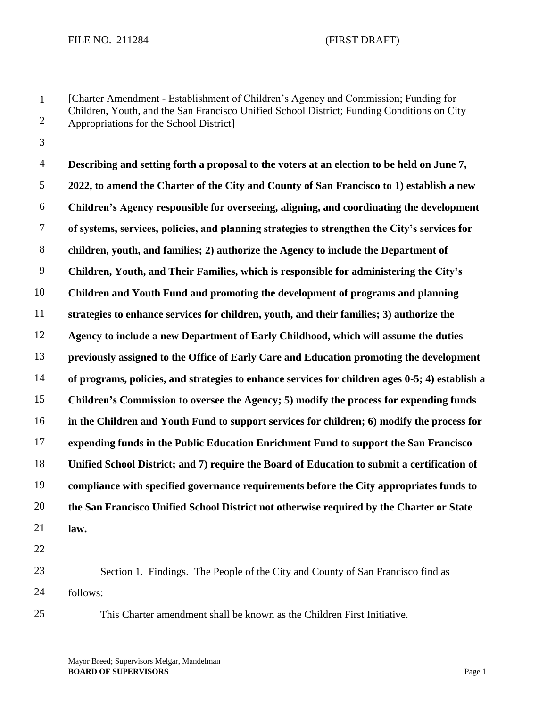1 2 [Charter Amendment - Establishment of Children's Agency and Commission; Funding for Children, Youth, and the San Francisco Unified School District; Funding Conditions on City Appropriations for the School District]

3

4 5 6 7 8 9 10 11 12 13 14 15 16 17 18 19 20 21 22 **Describing and setting forth a proposal to the voters at an election to be held on June 7, 2022, to amend the Charter of the City and County of San Francisco to 1) establish a new Children's Agency responsible for overseeing, aligning, and coordinating the development of systems, services, policies, and planning strategies to strengthen the City's services for children, youth, and families; 2) authorize the Agency to include the Department of Children, Youth, and Their Families, which is responsible for administering the City's Children and Youth Fund and promoting the development of programs and planning strategies to enhance services for children, youth, and their families; 3) authorize the Agency to include a new Department of Early Childhood, which will assume the duties previously assigned to the Office of Early Care and Education promoting the development of programs, policies, and strategies to enhance services for children ages 0-5; 4) establish a Children's Commission to oversee the Agency; 5) modify the process for expending funds in the Children and Youth Fund to support services for children; 6) modify the process for expending funds in the Public Education Enrichment Fund to support the San Francisco Unified School District; and 7) require the Board of Education to submit a certification of compliance with specified governance requirements before the City appropriates funds to the San Francisco Unified School District not otherwise required by the Charter or State law.**

23 24 Section 1. Findings. The People of the City and County of San Francisco find as follows:

25

This Charter amendment shall be known as the Children First Initiative.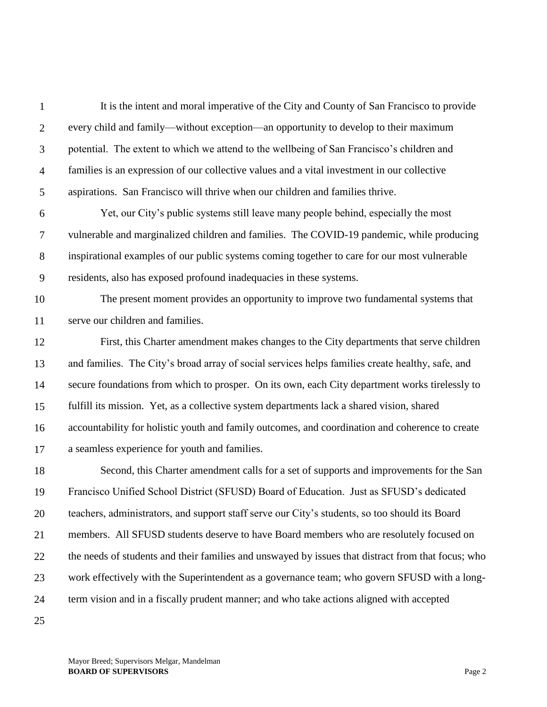| $\mathbf{1}$   | It is the intent and moral imperative of the City and County of San Francisco to provide           |
|----------------|----------------------------------------------------------------------------------------------------|
| $\overline{2}$ | every child and family—without exception—an opportunity to develop to their maximum                |
| 3              | potential. The extent to which we attend to the wellbeing of San Francisco's children and          |
| $\overline{4}$ | families is an expression of our collective values and a vital investment in our collective        |
| 5              | aspirations. San Francisco will thrive when our children and families thrive.                      |
| 6              | Yet, our City's public systems still leave many people behind, especially the most                 |
| $\tau$         | vulnerable and marginalized children and families. The COVID-19 pandemic, while producing          |
| 8              | inspirational examples of our public systems coming together to care for our most vulnerable       |
| 9              | residents, also has exposed profound inadequacies in these systems.                                |
| 10             | The present moment provides an opportunity to improve two fundamental systems that                 |
| 11             | serve our children and families.                                                                   |
| 12             | First, this Charter amendment makes changes to the City departments that serve children            |
| 13             | and families. The City's broad array of social services helps families create healthy, safe, and   |
| 14             | secure foundations from which to prosper. On its own, each City department works tirelessly to     |
| 15             | fulfill its mission. Yet, as a collective system departments lack a shared vision, shared          |
| 16             | accountability for holistic youth and family outcomes, and coordination and coherence to create    |
| 17             | a seamless experience for youth and families.                                                      |
| 18             | Second, this Charter amendment calls for a set of supports and improvements for the San            |
| 19             | Francisco Unified School District (SFUSD) Board of Education. Just as SFUSD's dedicated            |
| 20             | teachers, administrators, and support staff serve our City's students, so too should its Board     |
| 21             | members. All SFUSD students deserve to have Board members who are resolutely focused on            |
| 22             | the needs of students and their families and unswayed by issues that distract from that focus; who |
| 23             | work effectively with the Superintendent as a governance team; who govern SFUSD with a long-       |
| 24             | term vision and in a fiscally prudent manner; and who take actions aligned with accepted           |
| 25             |                                                                                                    |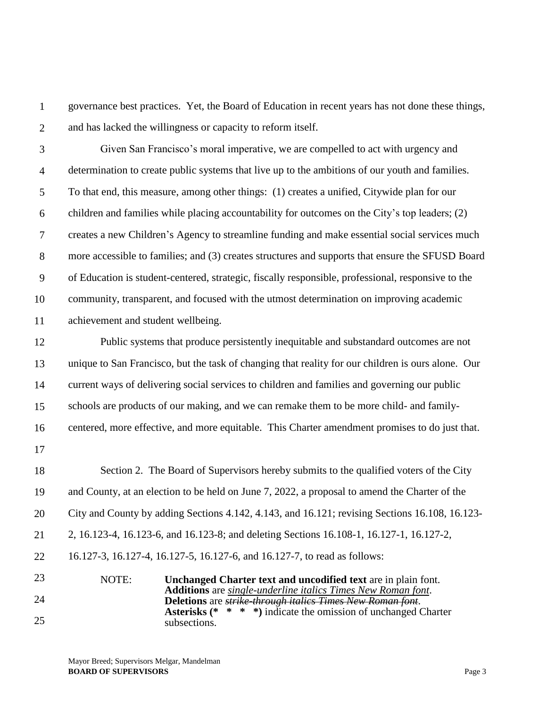1 2 governance best practices. Yet, the Board of Education in recent years has not done these things, and has lacked the willingness or capacity to reform itself.

3 4 5 6 7 8 9 10 11 Given San Francisco's moral imperative, we are compelled to act with urgency and determination to create public systems that live up to the ambitions of our youth and families. To that end, this measure, among other things: (1) creates a unified, Citywide plan for our children and families while placing accountability for outcomes on the City's top leaders; (2) creates a new Children's Agency to streamline funding and make essential social services much more accessible to families; and (3) creates structures and supports that ensure the SFUSD Board of Education is student-centered, strategic, fiscally responsible, professional, responsive to the community, transparent, and focused with the utmost determination on improving academic achievement and student wellbeing.

12 13 14 15 16 Public systems that produce persistently inequitable and substandard outcomes are not unique to San Francisco, but the task of changing that reality for our children is ours alone. Our current ways of delivering social services to children and families and governing our public schools are products of our making, and we can remake them to be more child- and familycentered, more effective, and more equitable. This Charter amendment promises to do just that.

17

18 19 20 21 22 23 Section 2. The Board of Supervisors hereby submits to the qualified voters of the City and County, at an election to be held on June 7, 2022, a proposal to amend the Charter of the City and County by adding Sections 4.142, 4.143, and 16.121; revising Sections 16.108, 16.123- 2, 16.123-4, 16.123-6, and 16.123-8; and deleting Sections 16.108-1, 16.127-1, 16.127-2, 16.127-3, 16.127-4, 16.127-5, 16.127-6, and 16.127-7, to read as follows: NOTE: **Unchanged Charter text and uncodified text** are in plain font. **Additions** are *single-underline italics Times New Roman font*.

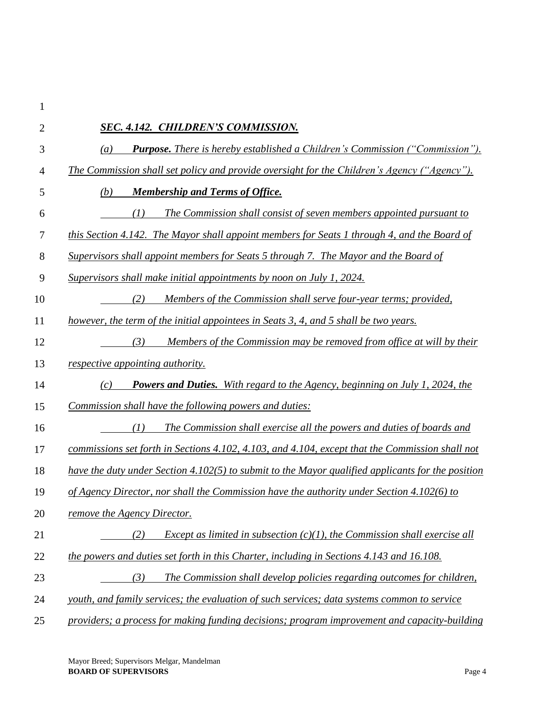| $\mathfrak{2}$ | SEC. 4.142. CHILDREN'S COMMISSION.                                                                   |
|----------------|------------------------------------------------------------------------------------------------------|
| 3              | <b>Purpose.</b> There is hereby established a Children's Commission ("Commission").<br>(a)           |
| 4              | The Commission shall set policy and provide oversight for the Children's Agency ("Agency").          |
| 5              | (b)<br><b>Membership and Terms of Office.</b>                                                        |
| 6              | The Commission shall consist of seven members appointed pursuant to<br>(I)                           |
| $\tau$         | this Section 4.142. The Mayor shall appoint members for Seats 1 through 4, and the Board of          |
| $8\,$          | Supervisors shall appoint members for Seats 5 through 7. The Mayor and the Board of                  |
| 9              | Supervisors shall make initial appointments by noon on July 1, 2024.                                 |
| 10             | (2)<br>Members of the Commission shall serve four-year terms; provided,                              |
| 11             | however, the term of the initial appointees in Seats 3, 4, and 5 shall be two years.                 |
| 12             | (3)<br>Members of the Commission may be removed from office at will by their                         |
| 13             | respective appointing authority.                                                                     |
| 14             | <b>Powers and Duties.</b> With regard to the Agency, beginning on July 1, 2024, the<br>(c)           |
| 15             | Commission shall have the following powers and duties:                                               |
| 16             | (I)<br>The Commission shall exercise all the powers and duties of boards and                         |
| 17             | commissions set forth in Sections 4.102, 4.103, and 4.104, except that the Commission shall not      |
| 18             | have the duty under Section 4.102(5) to submit to the Mayor qualified applicants for the position    |
| 19             | of Agency Director, nor shall the Commission have the authority under Section 4.102(6) to            |
| 20             | remove the Agency Director.                                                                          |
| 21             | (2)<br><i>Except as limited in subsection <math>(c)(1)</math>, the Commission shall exercise all</i> |
| 22             | the powers and duties set forth in this Charter, including in Sections 4.143 and 16.108.             |
| 23             | The Commission shall develop policies regarding outcomes for children,<br>(3)                        |
| 24             | youth, and family services; the evaluation of such services; data systems common to service          |
| 25             | providers; a process for making funding decisions; program improvement and capacity-building         |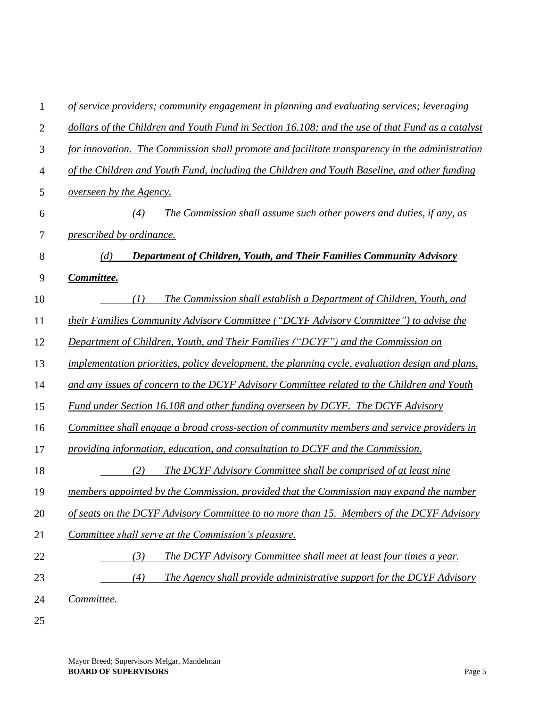| 1              | of service providers; community engagement in planning and evaluating services; leveraging       |
|----------------|--------------------------------------------------------------------------------------------------|
| $\overline{2}$ | dollars of the Children and Youth Fund in Section 16.108; and the use of that Fund as a catalyst |
| 3              | for innovation. The Commission shall promote and facilitate transparency in the administration   |
| 4              | of the Children and Youth Fund, including the Children and Youth Baseline, and other funding     |
| 5              | overseen by the Agency.                                                                          |
| 6              | The Commission shall assume such other powers and duties, if any, as<br>(4)                      |
| 7              | prescribed by ordinance.                                                                         |
| 8              | <b>Department of Children, Youth, and Their Families Community Advisory</b><br>(d)               |
| 9              | Committee.                                                                                       |
| 10             | The Commission shall establish a Department of Children, Youth, and<br>(I)                       |
| 11             | their Families Community Advisory Committee ("DCYF Advisory Committee") to advise the            |
| 12             | Department of Children, Youth, and Their Families ("DCYF") and the Commission on                 |
| 13             | implementation priorities, policy development, the planning cycle, evaluation design and plans,  |
| 14             | and any issues of concern to the DCYF Advisory Committee related to the Children and Youth       |
| 15             | Fund under Section 16.108 and other funding overseen by DCYF. The DCYF Advisory                  |
| 16             | Committee shall engage a broad cross-section of community members and service providers in       |
| 17             | providing information, education, and consultation to DCYF and the Commission.                   |
| 18             | (2)<br>The DCYF Advisory Committee shall be comprised of at least nine                           |
| 19             | members appointed by the Commission, provided that the Commission may expand the number          |
| 20             | of seats on the DCYF Advisory Committee to no more than 15. Members of the DCYF Advisory         |
| 21             | Committee shall serve at the Commission's pleasure.                                              |
| 22             | (3)<br>The DCYF Advisory Committee shall meet at least four times a year.                        |
| 23             | (4)<br>The Agency shall provide administrative support for the DCYF Advisory                     |
| 24             | Committee.                                                                                       |
|                |                                                                                                  |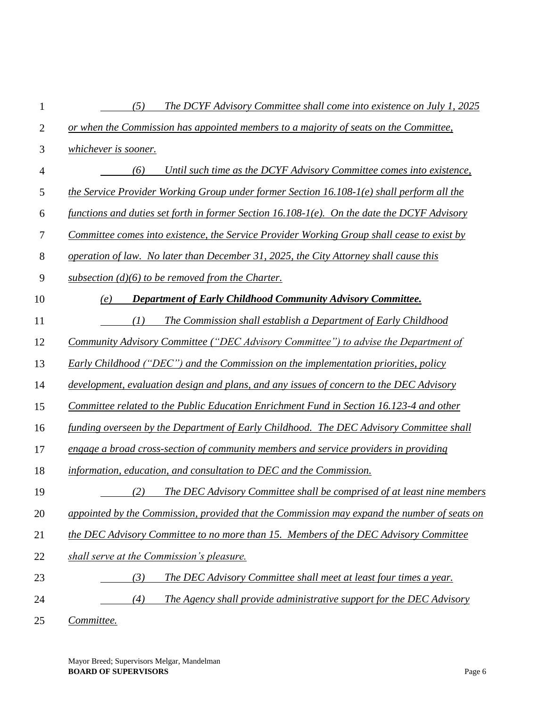| 1              | The DCYF Advisory Committee shall come into existence on July 1, 2025<br>(5)                |
|----------------|---------------------------------------------------------------------------------------------|
| $\overline{2}$ | or when the Commission has appointed members to a majority of seats on the Committee,       |
| 3              | whichever is sooner.                                                                        |
| $\overline{4}$ | Until such time as the DCYF Advisory Committee comes into existence,<br>(6)                 |
| 5              | the Service Provider Working Group under former Section 16.108-1(e) shall perform all the   |
| 6              | functions and duties set forth in former Section 16.108-1(e). On the date the DCYF Advisory |
| 7              | Committee comes into existence, the Service Provider Working Group shall cease to exist by  |
| 8              | operation of law. No later than December 31, 2025, the City Attorney shall cause this       |
| 9              | subsection $(d)(6)$ to be removed from the Charter.                                         |
| 10             | Department of Early Childhood Community Advisory Committee.<br>(e)                          |
| 11             | (I)<br>The Commission shall establish a Department of Early Childhood                       |
| 12             | Community Advisory Committee ("DEC Advisory Committee") to advise the Department of         |
| 13             | Early Childhood ("DEC") and the Commission on the implementation priorities, policy         |
| 14             | development, evaluation design and plans, and any issues of concern to the DEC Advisory     |
| 15             | Committee related to the Public Education Enrichment Fund in Section 16.123-4 and other     |
| 16             | funding overseen by the Department of Early Childhood. The DEC Advisory Committee shall     |
| 17             | engage a broad cross-section of community members and service providers in providing        |
| 18             | information, education, and consultation to DEC and the Commission.                         |
| 19             | The DEC Advisory Committee shall be comprised of at least nine members<br>(2)               |
| 20             | appointed by the Commission, provided that the Commission may expand the number of seats on |
| 21             | the DEC Advisory Committee to no more than 15. Members of the DEC Advisory Committee        |
| 22             | shall serve at the Commission's pleasure.                                                   |
| 23             | The DEC Advisory Committee shall meet at least four times a year.<br>(3)                    |
| 24             | The Agency shall provide administrative support for the DEC Advisory<br>(4)                 |
|                |                                                                                             |

25 *Committee.*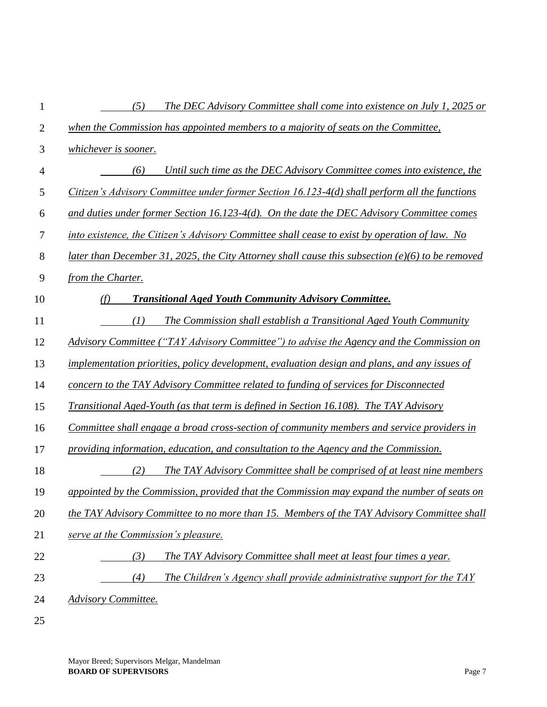| 1              | The DEC Advisory Committee shall come into existence on July 1, 2025 or<br>(5)                   |
|----------------|--------------------------------------------------------------------------------------------------|
| $\overline{2}$ | when the Commission has appointed members to a majority of seats on the Committee,               |
| 3              | whichever is sooner.                                                                             |
| 4              | Until such time as the DEC Advisory Committee comes into existence, the<br>(6)                   |
| 5              | Citizen's Advisory Committee under former Section 16.123-4(d) shall perform all the functions    |
| 6              | and duties under former Section 16.123-4(d). On the date the DEC Advisory Committee comes        |
| 7              | into existence, the Citizen's Advisory Committee shall cease to exist by operation of law. No    |
| 8              | later than December 31, 2025, the City Attorney shall cause this subsection (e)(6) to be removed |
| 9              | from the Charter.                                                                                |
| 10             | <b>Transitional Aged Youth Community Advisory Committee.</b><br>(f)                              |
| 11             | The Commission shall establish a Transitional Aged Youth Community<br>(1)                        |
| 12             | Advisory Committee ("TAY Advisory Committee") to advise the Agency and the Commission on         |
| 13             | implementation priorities, policy development, evaluation design and plans, and any issues of    |
| 14             | concern to the TAY Advisory Committee related to funding of services for Disconnected            |
| 15             | <b>Transitional Aged-Youth (as that term is defined in Section 16.108). The TAY Advisory</b>     |
| 16             | Committee shall engage a broad cross-section of community members and service providers in       |
| 17             | providing information, education, and consultation to the Agency and the Commission.             |
| 18             | The TAY Advisory Committee shall be comprised of at least nine members<br>(2)                    |
| 19             | appointed by the Commission, provided that the Commission may expand the number of seats on      |
| 20             | the TAY Advisory Committee to no more than 15. Members of the TAY Advisory Committee shall       |
| 21             | serve at the Commission's pleasure.                                                              |
| 22             | (3)<br>The TAY Advisory Committee shall meet at least four times a year.                         |
| 23             | The Children's Agency shall provide administrative support for the TAY<br>(4)                    |
| 24             | <b>Advisory Committee.</b>                                                                       |
| 25             |                                                                                                  |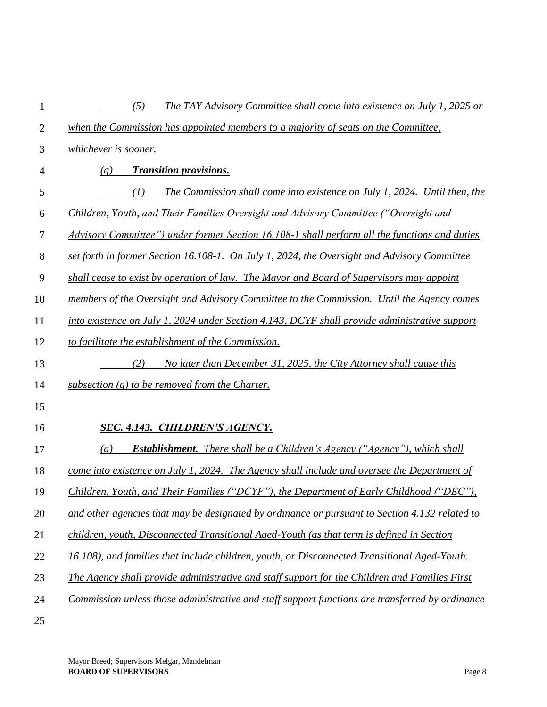| 1              | (5)<br>The TAY Advisory Committee shall come into existence on July 1, 2025 or                       |
|----------------|------------------------------------------------------------------------------------------------------|
| $\overline{2}$ | when the Commission has appointed members to a majority of seats on the Committee,                   |
| 3              | whichever is sooner.                                                                                 |
| 4              | <b>Transition provisions.</b><br>(g)                                                                 |
| 5              | The Commission shall come into existence on July 1, 2024. Until then, the<br>(I)                     |
| 6              | Children, Youth, and Their Families Oversight and Advisory Committee ("Oversight and                 |
| 7              | Advisory Committee") under former Section 16.108-1 shall perform all the functions and duties        |
| 8              | set forth in former Section 16.108-1. On July 1, 2024, the Oversight and Advisory Committee          |
| 9              | shall cease to exist by operation of law. The Mayor and Board of Supervisors may appoint             |
| 10             | members of the Oversight and Advisory Committee to the Commission. Until the Agency comes            |
| 11             | into existence on July 1, 2024 under Section 4.143, DCYF shall provide administrative support        |
| 12             | to facilitate the establishment of the Commission.                                                   |
| 13             | No later than December 31, 2025, the City Attorney shall cause this<br>(2)                           |
| 14             | subsection $(g)$ to be removed from the Charter.                                                     |
| 15             |                                                                                                      |
| 16             | <b>SEC. 4.143. CHILDREN'S AGENCY.</b>                                                                |
| 17             | <b>Establishment.</b> There shall be a Children's Agency ("Agency"), which shall<br>$\left(a\right)$ |
| 18             | come into existence on July 1, 2024. The Agency shall include and oversee the Department of          |
| 19             | Children, Youth, and Their Families ("DCYF"), the Department of Early Childhood ("DEC"),             |
| 20             | and other agencies that may be designated by ordinance or pursuant to Section 4.132 related to       |
| 21             | children, youth, Disconnected Transitional Aged-Youth (as that term is defined in Section            |
| 22             | 16.108), and families that include children, youth, or Disconnected Transitional Aged-Youth.         |
| 23             | The Agency shall provide administrative and staff support for the Children and Families First        |
| 24             | Commission unless those administrative and staff support functions are transferred by ordinance      |
| 25             |                                                                                                      |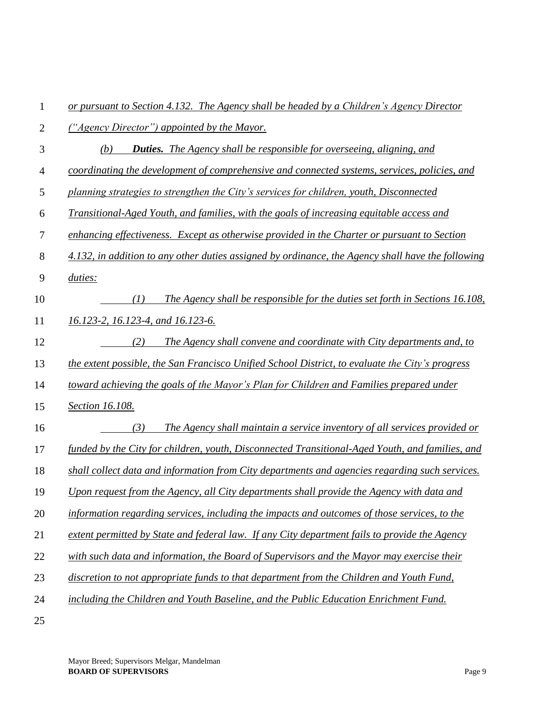| 1              | or pursuant to Section 4.132. The Agency shall be headed by a Children's Agency Director          |
|----------------|---------------------------------------------------------------------------------------------------|
| $\overline{2}$ | ("Agency Director") appointed by the Mayor.                                                       |
| 3              | (b)<br><b>Duties.</b> The Agency shall be responsible for overseeing, aligning, and               |
| 4              | coordinating the development of comprehensive and connected systems, services, policies, and      |
| 5              | planning strategies to strengthen the City's services for children, youth, Disconnected           |
| 6              | Transitional-Aged Youth, and families, with the goals of increasing equitable access and          |
| 7              | enhancing effectiveness. Except as otherwise provided in the Charter or pursuant to Section       |
| 8              | 4.132, in addition to any other duties assigned by ordinance, the Agency shall have the following |
| 9              | duties:                                                                                           |
| 10             | (I)<br>The Agency shall be responsible for the duties set forth in Sections 16.108,               |
| 11             | 16.123-2, 16.123-4, and 16.123-6.                                                                 |
| 12             | (2)<br>The Agency shall convene and coordinate with City departments and, to                      |
| 13             | the extent possible, the San Francisco Unified School District, to evaluate the City's progress   |
| 14             | toward achieving the goals of the Mayor's Plan for Children and Families prepared under           |
| 15             | Section 16.108.                                                                                   |
| 16             | (3)<br>The Agency shall maintain a service inventory of all services provided or                  |
| 17             | funded by the City for children, youth, Disconnected Transitional-Aged Youth, and families, and   |
| 18             | shall collect data and information from City departments and agencies regarding such services.    |
| 19             | Upon request from the Agency, all City departments shall provide the Agency with data and         |
| 20             | information regarding services, including the impacts and outcomes of those services, to the      |
| 21             | extent permitted by State and federal law. If any City department fails to provide the Agency     |
| 22             | with such data and information, the Board of Supervisors and the Mayor may exercise their         |
| 23             | discretion to not appropriate funds to that department from the Children and Youth Fund,          |
| 24             | including the Children and Youth Baseline, and the Public Education Enrichment Fund.              |
| 25             |                                                                                                   |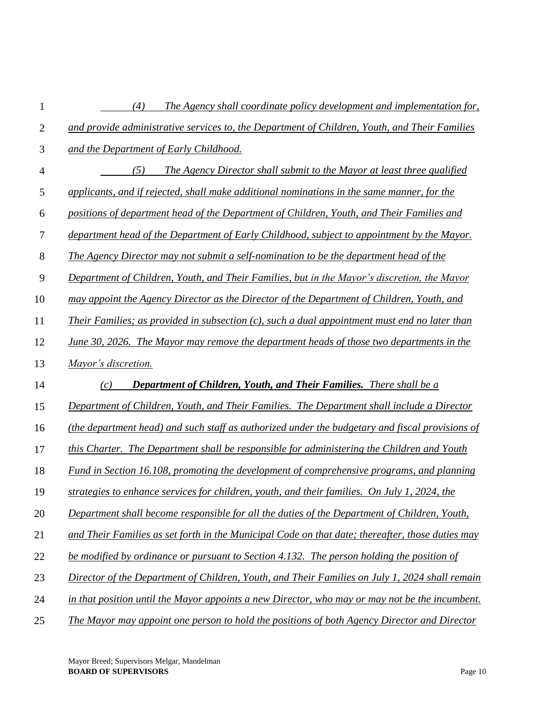| 1              | (4)<br>The Agency shall coordinate policy development and implementation for,                    |
|----------------|--------------------------------------------------------------------------------------------------|
| $\overline{2}$ | and provide administrative services to, the Department of Children, Youth, and Their Families    |
| 3              | and the Department of Early Childhood.                                                           |
| $\overline{4}$ | The Agency Director shall submit to the Mayor at least three qualified<br>(5)                    |
| 5              | applicants, and if rejected, shall make additional nominations in the same manner, for the       |
| 6              | positions of department head of the Department of Children, Youth, and Their Families and        |
| $\tau$         | department head of the Department of Early Childhood, subject to appointment by the Mayor.       |
| $8\,$          | The Agency Director may not submit a self-nomination to be the department head of the            |
| 9              | Department of Children, Youth, and Their Families, but in the Mayor's discretion, the Mayor      |
| 10             | may appoint the Agency Director as the Director of the Department of Children, Youth, and        |
| 11             | Their Families; as provided in subsection $(c)$ , such a dual appointment must end no later than |
| 12             | June 30, 2026. The Mayor may remove the department heads of those two departments in the         |
| 13             | Mayor's discretion.                                                                              |
| 14             | <b>Department of Children, Youth, and Their Families.</b> There shall be a<br>(c)                |
| 15             | Department of Children, Youth, and Their Families. The Department shall include a Director       |
| 16             | (the department head) and such staff as authorized under the budgetary and fiscal provisions of  |
| 17             | this Charter. The Department shall be responsible for administering the Children and Youth       |
| 18             | Fund in Section 16.108, promoting the development of comprehensive programs, and planning        |
| 19             | strategies to enhance services for children, youth, and their families. On July 1, 2024, the     |
| 20             | Department shall become responsible for all the duties of the Department of Children, Youth,     |
| 21             | and Their Families as set forth in the Municipal Code on that date; thereafter, those duties may |
| 22             | be modified by ordinance or pursuant to Section 4.132. The person holding the position of        |
| 23             | Director of the Department of Children, Youth, and Their Families on July 1, 2024 shall remain   |
| 24             | in that position until the Mayor appoints a new Director, who may or may not be the incumbent.   |
| 25             | The Mayor may appoint one person to hold the positions of both Agency Director and Director      |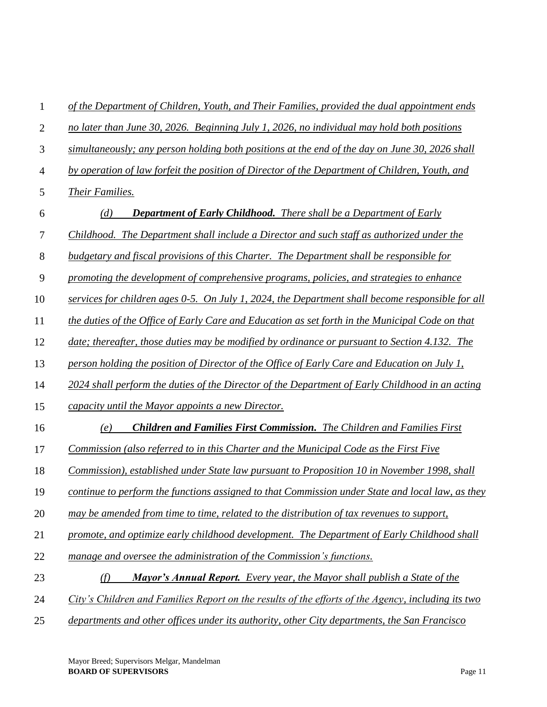| $\mathbf{1}$   | of the Department of Children, Youth, and Their Families, provided the dual appointment ends       |
|----------------|----------------------------------------------------------------------------------------------------|
| $\overline{2}$ | no later than June 30, 2026. Beginning July 1, 2026, no individual may hold both positions         |
| 3              | simultaneously; any person holding both positions at the end of the day on June 30, 2026 shall     |
| $\overline{4}$ | by operation of law forfeit the position of Director of the Department of Children, Youth, and     |
| 5              | Their Families.                                                                                    |
| 6              | (d)<br><b>Department of Early Childhood.</b> There shall be a Department of Early                  |
| 7              | Childhood. The Department shall include a Director and such staff as authorized under the          |
| 8              | budgetary and fiscal provisions of this Charter. The Department shall be responsible for           |
| 9              | promoting the development of comprehensive programs, policies, and strategies to enhance           |
| 10             | services for children ages 0-5. On July 1, 2024, the Department shall become responsible for all   |
| 11             | the duties of the Office of Early Care and Education as set forth in the Municipal Code on that    |
| 12             | date; thereafter, those duties may be modified by ordinance or pursuant to Section 4.132. The      |
| 13             | person holding the position of Director of the Office of Early Care and Education on July 1,       |
| 14             | 2024 shall perform the duties of the Director of the Department of Early Childhood in an acting    |
| 15             | capacity until the Mayor appoints a new Director.                                                  |
| 16             | <b>Children and Families First Commission.</b> The Children and Families First<br>(e)              |
| 17             | Commission (also referred to in this Charter and the Municipal Code as the First Five              |
| 18             | Commission), established under State law pursuant to Proposition 10 in November 1998, shall        |
| 19             | continue to perform the functions assigned to that Commission under State and local law, as they   |
| 20             | may be amended from time to time, related to the distribution of tax revenues to support,          |
| 21             | promote, and optimize early childhood development. The Department of Early Childhood shall         |
| 22             | manage and oversee the administration of the Commission's functions.                               |
| 23             | <b>Mayor's Annual Report.</b> Every year, the Mayor shall publish a State of the<br>(f)            |
| 24             | City's Children and Families Report on the results of the efforts of the Agency, including its two |
| 25             | departments and other offices under its authority, other City departments, the San Francisco       |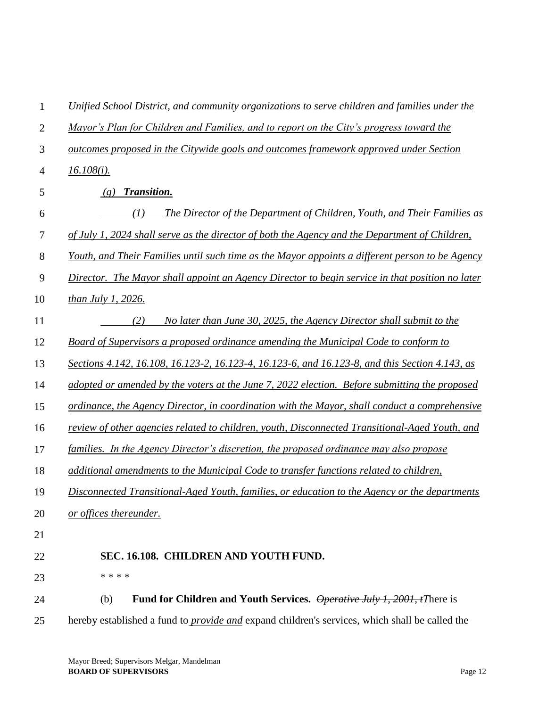| $\mathbf{1}$   | Unified School District, and community organizations to serve children and families under the         |
|----------------|-------------------------------------------------------------------------------------------------------|
| $\overline{2}$ | Mayor's Plan for Children and Families, and to report on the City's progress toward the               |
| 3              | outcomes proposed in the Citywide goals and outcomes framework approved under Section                 |
| $\overline{4}$ | $16.108(i)$ .                                                                                         |
| 5              | Transition.<br>(g)                                                                                    |
| 6              | (I)<br>The Director of the Department of Children, Youth, and Their Families as                       |
| 7              | of July 1, 2024 shall serve as the director of both the Agency and the Department of Children,        |
| 8              | Youth, and Their Families until such time as the Mayor appoints a different person to be Agency       |
| 9              | Director. The Mayor shall appoint an Agency Director to begin service in that position no later       |
| 10             | than July 1, 2026.                                                                                    |
| 11             | No later than June 30, 2025, the Agency Director shall submit to the<br>(2)                           |
| 12             | Board of Supervisors a proposed ordinance amending the Municipal Code to conform to                   |
| 13             | Sections 4.142, 16.108, 16.123-2, 16.123-4, 16.123-6, and 16.123-8, and this Section 4.143, as        |
| 14             | adopted or amended by the voters at the June 7, 2022 election. Before submitting the proposed         |
| 15             | ordinance, the Agency Director, in coordination with the Mayor, shall conduct a comprehensive         |
| 16             | review of other agencies related to children, youth, Disconnected Transitional-Aged Youth, and        |
| 17             | families. In the Agency Director's discretion, the proposed ordinance may also propose                |
| 18             | additional amendments to the Municipal Code to transfer functions related to children,                |
| 19             | Disconnected Transitional-Aged Youth, families, or education to the Agency or the departments         |
| 20             | or offices thereunder.                                                                                |
| 21             |                                                                                                       |
| 22             | SEC. 16.108. CHILDREN AND YOUTH FUND.                                                                 |
| 23             | * * * *                                                                                               |
| 24             | Fund for Children and Youth Services. Operative July 1, 2001, tThere is<br>(b)                        |
| 25             | hereby established a fund to <i>provide and</i> expand children's services, which shall be called the |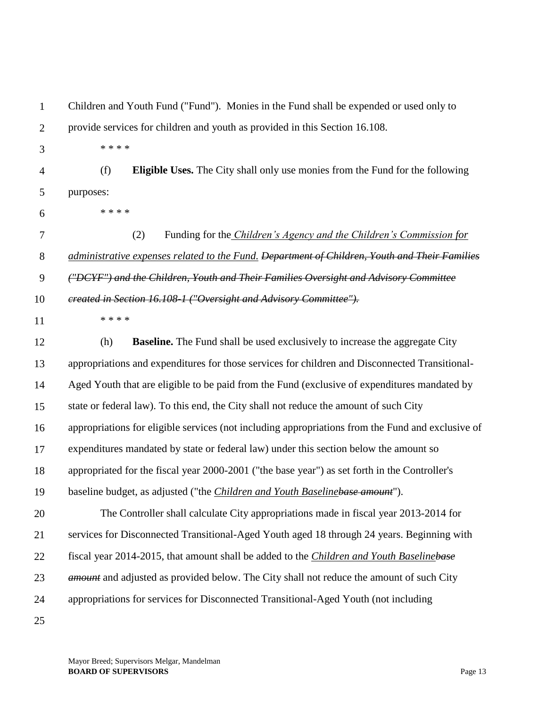| 1              | Children and Youth Fund ("Fund"). Monies in the Fund shall be expended or used only to            |
|----------------|---------------------------------------------------------------------------------------------------|
| $\overline{2}$ | provide services for children and youth as provided in this Section 16.108.                       |
| 3              | * * * *                                                                                           |
| $\overline{4}$ | (f)<br><b>Eligible Uses.</b> The City shall only use monies from the Fund for the following       |
| 5              | purposes:                                                                                         |
| 6              | * * * *                                                                                           |
| 7              | (2)<br>Funding for the <i>Children's Agency and the Children's Commission for</i>                 |
| 8              | administrative expenses related to the Fund. Department of Children, Youth and Their Families     |
| 9              | ("DCYF") and the Children, Youth and Their Families Oversight and Advisory Committee              |
| 10             | ereated in Section 16.108-1 ("Oversight and Advisory Committee").                                 |
| 11             | * * * *                                                                                           |
| 12             | <b>Baseline.</b> The Fund shall be used exclusively to increase the aggregate City<br>(h)         |
| 13             | appropriations and expenditures for those services for children and Disconnected Transitional-    |
| 14             | Aged Youth that are eligible to be paid from the Fund (exclusive of expenditures mandated by      |
| 15             | state or federal law). To this end, the City shall not reduce the amount of such City             |
| 16             | appropriations for eligible services (not including appropriations from the Fund and exclusive of |
| 17             | expenditures mandated by state or federal law) under this section below the amount so             |
| 18             | appropriated for the fiscal year 2000-2001 ("the base year") as set forth in the Controller's     |
| 19             | baseline budget, as adjusted ("the <i>Children and Youth Baselinebase amount</i> ").              |
| 20             | The Controller shall calculate City appropriations made in fiscal year 2013-2014 for              |
| 21             | services for Disconnected Transitional-Aged Youth aged 18 through 24 years. Beginning with        |
| 22             | fiscal year 2014-2015, that amount shall be added to the Children and Youth Baselinebase          |
| 23             | <i>amount</i> and adjusted as provided below. The City shall not reduce the amount of such City   |
| 24             | appropriations for services for Disconnected Transitional-Aged Youth (not including               |
| 25             |                                                                                                   |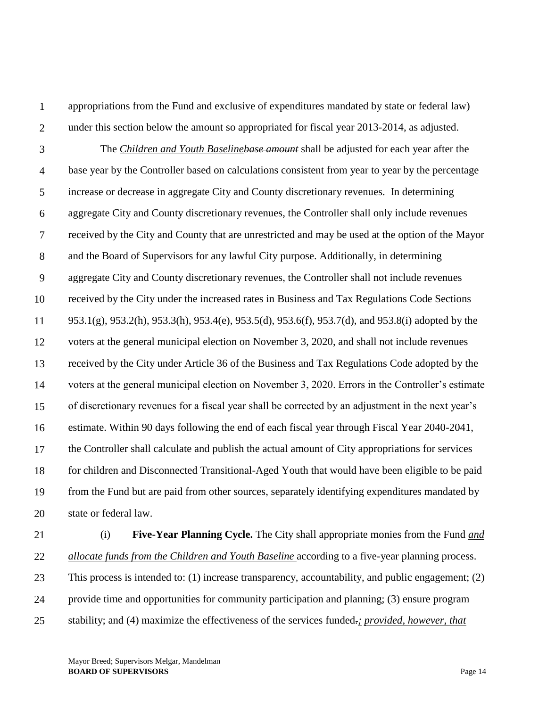2

appropriations from the Fund and exclusive of expenditures mandated by state or federal law) under this section below the amount so appropriated for fiscal year 2013-2014, as adjusted.

3 4 5 6 7 8 9 10 11 12 13 14 15 16 17 18 19 20 The *Children and Youth Baselinebase amount* shall be adjusted for each year after the base year by the Controller based on calculations consistent from year to year by the percentage increase or decrease in aggregate City and County discretionary revenues. In determining aggregate City and County discretionary revenues, the Controller shall only include revenues received by the City and County that are unrestricted and may be used at the option of the Mayor and the Board of Supervisors for any lawful City purpose. Additionally, in determining aggregate City and County discretionary revenues, the Controller shall not include revenues received by the City under the increased rates in Business and Tax Regulations Code Sections 953.1(g), 953.2(h), 953.3(h), 953.4(e), 953.5(d), 953.6(f), 953.7(d), and 953.8(i) adopted by the voters at the general municipal election on November 3, 2020, and shall not include revenues received by the City under Article 36 of the Business and Tax Regulations Code adopted by the voters at the general municipal election on November 3, 2020. Errors in the Controller's estimate of discretionary revenues for a fiscal year shall be corrected by an adjustment in the next year's estimate. Within 90 days following the end of each fiscal year through Fiscal Year 2040-2041, the Controller shall calculate and publish the actual amount of City appropriations for services for children and Disconnected Transitional-Aged Youth that would have been eligible to be paid from the Fund but are paid from other sources, separately identifying expenditures mandated by state or federal law.

21 22 23 24 25 (i) **Five-Year Planning Cycle.** The City shall appropriate monies from the Fund *and allocate funds from the Children and Youth Baseline* according to a five-year planning process. This process is intended to: (1) increase transparency, accountability, and public engagement; (2) provide time and opportunities for community participation and planning; (3) ensure program stability; and (4) maximize the effectiveness of the services funded*.; provided, however, that*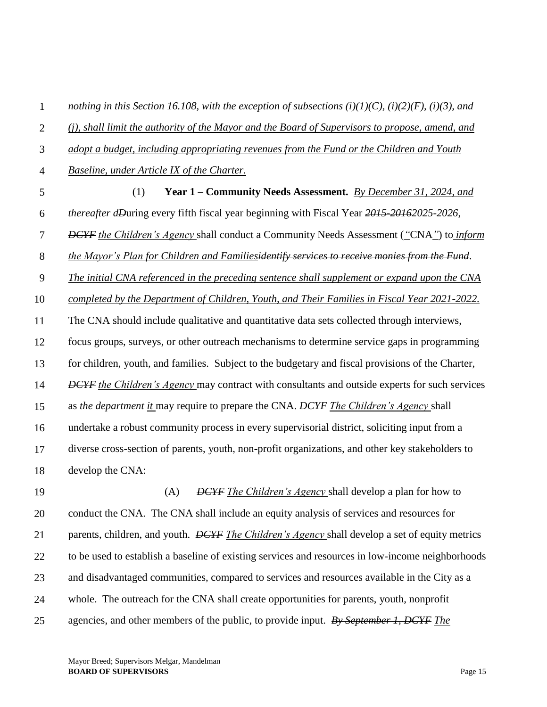1 2 3 4 5 6 7 8 9 10 11 12 13 14 15 16 17 18 19 20 21 22 23 24 25 *nothing in this Section 16.108, with the exception of subsections (i)(1)(C), (i)(2)(F), (i)(3), and (j), shall limit the authority of the Mayor and the Board of Supervisors to propose, amend, and adopt a budget, including appropriating revenues from the Fund or the Children and Youth Baseline, under Article IX of the Charter.* (1) **Year 1 – Community Needs Assessment.** *By December 31, 2024, and thereafter dDuring every fifth fiscal year beginning with Fiscal Year 2015-20162025-2026*, *DCYF the Children's Agency* shall conduct a Community Needs Assessment (*"*CNA*"*) to *inform the Mayor's Plan for Children and Familiesidentify services to receive monies from the Fund*. *The initial CNA referenced in the preceding sentence shall supplement or expand upon the CNA completed by the Department of Children, Youth, and Their Families in Fiscal Year 2021-2022.*  The CNA should include qualitative and quantitative data sets collected through interviews, focus groups, surveys, or other outreach mechanisms to determine service gaps in programming for children, youth, and families. Subject to the budgetary and fiscal provisions of the Charter, *DCYF* the Children's Agency may contract with consultants and outside experts for such services as *the department it* may require to prepare the CNA. *DCYF The Children's Agency* shall undertake a robust community process in every supervisorial district, soliciting input from a diverse cross-section of parents, youth, non*-*profit organizations, and other key stakeholders to develop the CNA: (A) *DCYF The Children's Agency* shall develop a plan for how to conduct the CNA. The CNA shall include an equity analysis of services and resources for parents, children, and youth. *DCYF The Children's Agency* shall develop a set of equity metrics to be used to establish a baseline of existing services and resources in low-income neighborhoods and disadvantaged communities, compared to services and resources available in the City as a whole. The outreach for the CNA shall create opportunities for parents, youth, nonprofit agencies, and other members of the public, to provide input. *By September 1, DCYF The*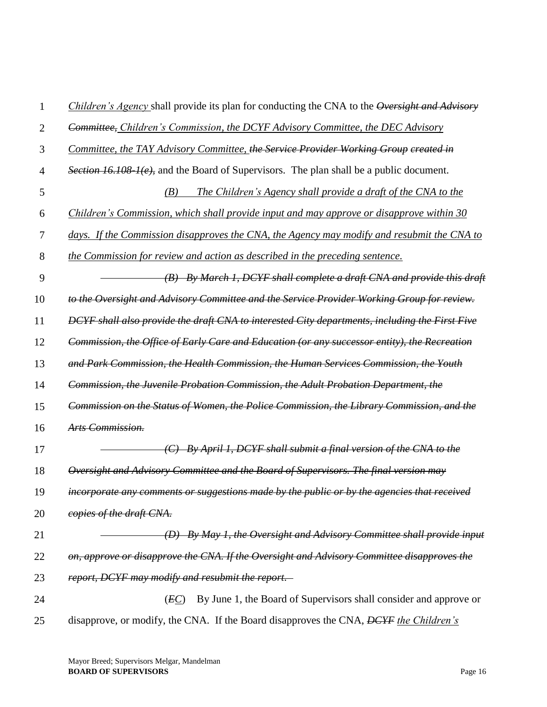| 1              | Children's Agency shall provide its plan for conducting the CNA to the Oversight and Advisory  |
|----------------|------------------------------------------------------------------------------------------------|
| $\overline{2}$ | Committee, Children's Commission, the DCYF Advisory Committee, the DEC Advisory                |
| 3              | Committee, the TAY Advisory Committee, the Service Provider Working Group created in           |
| $\overline{4}$ | Section 16.108 1(e), and the Board of Supervisors. The plan shall be a public document.        |
| 5              | The Children's Agency shall provide a draft of the CNA to the<br>(B)                           |
| 6              | Children's Commission, which shall provide input and may approve or disapprove within 30       |
| 7              | days. If the Commission disapproves the CNA, the Agency may modify and resubmit the CNA to     |
| 8              | the Commission for review and action as described in the preceding sentence.                   |
| 9              | (B) By March 1, DCYF shall complete a draft CNA and provide this draft                         |
| 10             | to the Oversight and Advisory Committee and the Service Provider Working Group for review.     |
| 11             | DCYF shall also provide the draft CNA to interested City departments, including the First Five |
| 12             | Commission, the Office of Early Care and Education (or any successor entity), the Recreation   |
| 13             | and Park Commission, the Health Commission, the Human Services Commission, the Youth           |
| 14             | Commission, the Juvenile Probation Commission, the Adult Probation Department, the             |
| 15             | Commission on the Status of Women, the Police Commission, the Library Commission, and the      |
| 16             | Arts Commission.                                                                               |
| 17             | By April 1, DCYF shall submit a final version of the CNA to the                                |
| 18             | Oversight and Advisory Committee and the Board of Supervisors. The final version may           |
| 19             | incorporate any comments or suggestions made by the public or by the agencies that received    |
| 20             | copies of the draft CNA.                                                                       |
| 21             | (D) By May 1, the Oversight and Advisory Committee shall provide input                         |
| 22             | on, approve or disapprove the CNA. If the Oversight and Advisory Committee disapproves the     |
| 23             | report, DCYF may modify and resubmit the report.                                               |
| 24             | By June 1, the Board of Supervisors shall consider and approve or<br>(EC)                      |
| 25             | disapprove, or modify, the CNA. If the Board disapproves the CNA, DCYF the Children's          |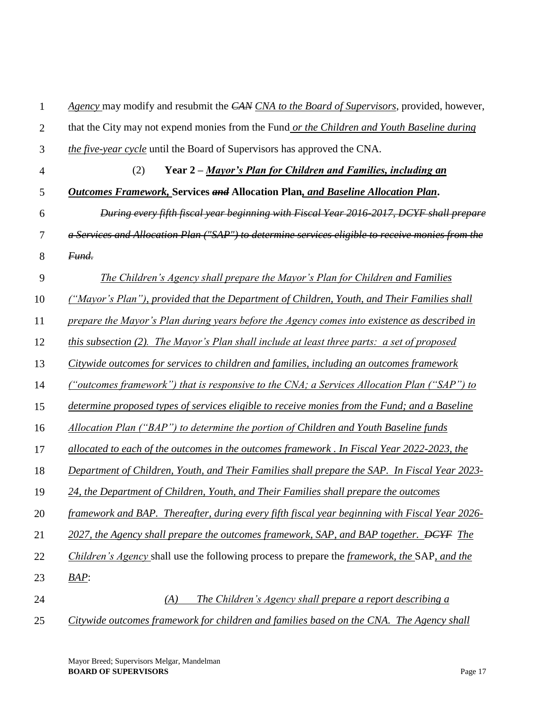| $\mathbf{1}$   | Agency may modify and resubmit the CAN CNA to the Board of Supervisors, provided, however,                  |
|----------------|-------------------------------------------------------------------------------------------------------------|
| $\overline{2}$ | that the City may not expend monies from the Fund or the Children and Youth Baseline during                 |
| 3              | the five-year cycle until the Board of Supervisors has approved the CNA.                                    |
| $\overline{4}$ | (2)<br>Year 2 – Mayor's Plan for Children and Families, including an                                        |
| 5              | Outcomes Framework, Services and Allocation Plan, and Baseline Allocation Plan.                             |
| 6              | During every fifth fiscal year beginning with Fiscal Year 2016-2017, DCYF shall prepare                     |
| $\tau$         | a Services and Allocation Plan ("SAP") to determine services eligible to receive monies from the            |
| 8              | Fund.                                                                                                       |
| 9              | The Children's Agency shall prepare the Mayor's Plan for Children and Families                              |
| 10             | ("Mayor's Plan"), provided that the Department of Children, Youth, and Their Families shall                 |
| 11             | prepare the Mayor's Plan during years before the Agency comes into existence as described in                |
| 12             | this subsection $(2)$ . The Mayor's Plan shall include at least three parts: a set of proposed              |
| 13             | Citywide outcomes for services to children and families, including an outcomes framework                    |
| 14             | ("outcomes framework") that is responsive to the CNA; a Services Allocation Plan ("SAP") to                 |
| 15             | determine proposed types of services eligible to receive monies from the Fund; and a Baseline               |
| 16             | Allocation Plan ("BAP") to determine the portion of Children and Youth Baseline funds                       |
| 17             | allocated to each of the outcomes in the outcomes framework. In Fiscal Year 2022-2023, the                  |
| 18             | Department of Children, Youth, and Their Families shall prepare the SAP. In Fiscal Year 2023-               |
| 19             | 24, the Department of Children, Youth, and Their Families shall prepare the outcomes                        |
| 20             | framework and BAP. Thereafter, during every fifth fiscal year beginning with Fiscal Year 2026-              |
| 21             | 2027, the Agency shall prepare the outcomes framework, SAP, and BAP together. <del>DCYF</del> The           |
| 22             | <i>Children's Agency</i> shall use the following process to prepare the <i>framework</i> , the SAP, and the |
| 23             | $BAP$ :                                                                                                     |
| 24             | The Children's Agency shall prepare a report describing a<br>(A)                                            |
| 25             | Citywide outcomes framework for children and families based on the CNA. The Agency shall                    |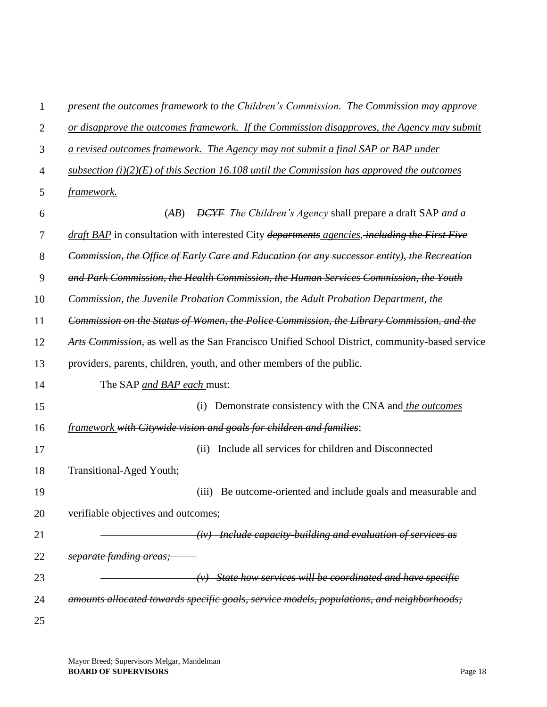| $\mathbf{1}$   | present the outcomes framework to the Children's Commission. The Commission may approve                             |
|----------------|---------------------------------------------------------------------------------------------------------------------|
| $\overline{2}$ | or disapprove the outcomes framework. If the Commission disapproves, the Agency may submit                          |
| 3              | a revised outcomes framework. The Agency may not submit a final SAP or BAP under                                    |
| 4              | subsection (i)(2)(E) of this Section 16.108 until the Commission has approved the outcomes                          |
| 5              | framework.                                                                                                          |
| 6              | <b>DCYF</b> The Children's Agency shall prepare a draft SAP and a<br>(AB)                                           |
| $\tau$         | <i>draft BAP</i> in consultation with interested City <i>departments agencies</i> , <i>including the First Five</i> |
| 8              | Commission, the Office of Early Care and Education (or any successor entity), the Recreation                        |
| 9              | and Park Commission, the Health Commission, the Human Services Commission, the Youth                                |
| 10             | Commission, the Juvenile Probation Commission, the Adult Probation Department, the                                  |
| 11             | Commission on the Status of Women, the Police Commission, the Library Commission, and the                           |
| 12             | Arts Commission, as well as the San Francisco Unified School District, community-based service                      |
| 13             | providers, parents, children, youth, and other members of the public.                                               |
| 14             | The SAP and BAP each must:                                                                                          |
| 15             | Demonstrate consistency with the CNA and <i>the outcomes</i><br>(i)                                                 |
| 16             | framework with Citywide vision and goals for children and families;                                                 |
| 17             | Include all services for children and Disconnected<br>(ii)                                                          |
| 18             | Transitional-Aged Youth;                                                                                            |
| 19             | Be outcome-oriented and include goals and measurable and<br>(iii)                                                   |
| 20             | verifiable objectives and outcomes;                                                                                 |
| 21             | $(iv)$ Include capacity-building and evaluation of services as                                                      |
| 22             | separate funding areas;                                                                                             |
| 23             | $(v)$ State how services will be coordinated and have specific                                                      |
| 24             | amounts allocated towards specific goals, service models, populations, and neighborhoods;                           |
| 25             |                                                                                                                     |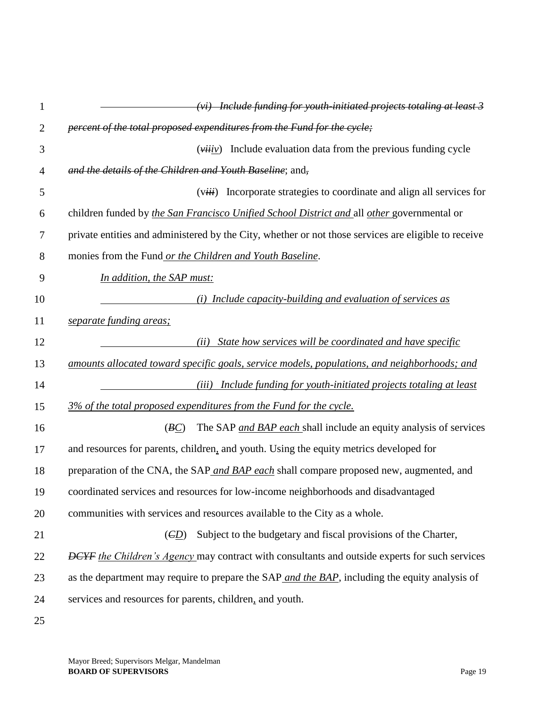| $\mathbf{1}$   | $(vi)$ Include funding for youth initiated projects totaling at least 3                               |
|----------------|-------------------------------------------------------------------------------------------------------|
| $\overline{2}$ | percent of the total proposed expenditures from the Fund for the cycle;                               |
| 3              | $(\overrightarrow{viiv})$ Include evaluation data from the previous funding cycle                     |
| 4              | and the details of the Children and Youth Baseline; and,                                              |
| 5              | Incorporate strategies to coordinate and align all services for<br>(viii)                             |
| 6              | children funded by the San Francisco Unified School District and all other governmental or            |
| 7              | private entities and administered by the City, whether or not those services are eligible to receive  |
| 8              | monies from the Fund or the Children and Youth Baseline.                                              |
| 9              | In addition, the SAP must:                                                                            |
| 10             | (i) Include capacity-building and evaluation of services as                                           |
| 11             | separate funding areas;                                                                               |
| 12             | State how services will be coordinated and have specific<br>(ii)                                      |
| 13             | amounts allocated toward specific goals, service models, populations, and neighborhoods; and          |
| 14             | Include funding for youth-initiated projects totaling at least<br>(iii)                               |
| 15             | 3% of the total proposed expenditures from the Fund for the cycle.                                    |
| 16             | The SAP and BAP each shall include an equity analysis of services<br>(BC)                             |
| 17             | and resources for parents, children, and youth. Using the equity metrics developed for                |
| 18             | preparation of the CNA, the SAP and BAP each shall compare proposed new, augmented, and               |
| 19             | coordinated services and resources for low-income neighborhoods and disadvantaged                     |
| 20             | communities with services and resources available to the City as a whole.                             |
| 21             | Subject to the budgetary and fiscal provisions of the Charter,<br>(ED)                                |
| 22             | <b>DCYF</b> the Children's Agency may contract with consultants and outside experts for such services |
| 23             | as the department may require to prepare the SAP and the BAP, including the equity analysis of        |
| 24             | services and resources for parents, children, and youth.                                              |
| 25             |                                                                                                       |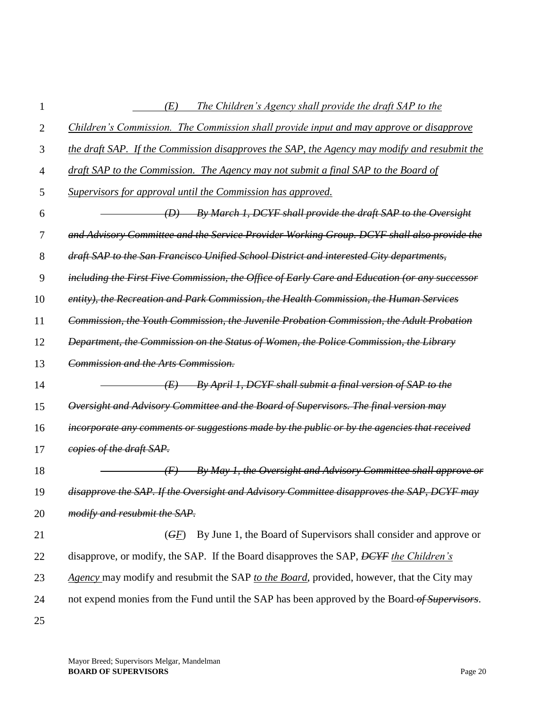| 1  | (E)<br>The Children's Agency shall provide the draft SAP to the                                  |
|----|--------------------------------------------------------------------------------------------------|
| 2  | Children's Commission. The Commission shall provide input and may approve or disapprove          |
| 3  | the draft SAP. If the Commission disapproves the SAP, the Agency may modify and resubmit the     |
| 4  | draft SAP to the Commission. The Agency may not submit a final SAP to the Board of               |
| 5  | Supervisors for approval until the Commission has approved.                                      |
| 6  | By March 1, DCYF shall provide the draft SAP to the Oversight<br>(D)                             |
| 7  | and Advisory Committee and the Service Provider Working Group. DCYF shall also provide the       |
| 8  | draft SAP to the San Francisco Unified School District and interested City departments,          |
| 9  | including the First Five Commission, the Office of Early Care and Education (or any successor    |
| 10 | entity), the Recreation and Park Commission, the Health Commission, the Human Services           |
| 11 | Commission, the Youth Commission, the Juvenile Probation Commission, the Adult Probation         |
| 12 | Department, the Commission on the Status of Women, the Police Commission, the Library            |
| 13 | Commission and the Arts Commission.                                                              |
| 14 | By April 1, DCYF shall submit a final version of SAP to the<br>(E)                               |
| 15 | Oversight and Advisory Committee and the Board of Supervisors. The final version may             |
| 16 | incorporate any comments or suggestions made by the public or by the agencies that received      |
| 17 | copies of the draft SAP.                                                                         |
| 18 | By May 1, the Oversight and Advisory Committee shall approve or<br>$\left( F\right)$             |
| 19 | disapprove the SAP. If the Oversight and Advisory Committee disapproves the SAP, DCYF may        |
| 20 | modify and resubmit the SAP.                                                                     |
| 21 | By June 1, the Board of Supervisors shall consider and approve or<br>(GF)                        |
| 22 | disapprove, or modify, the SAP. If the Board disapproves the SAP, <del>DCYF</del> the Children's |
| 23 | Agency may modify and resubmit the SAP to the Board, provided, however, that the City may        |
| 24 | not expend monies from the Fund until the SAP has been approved by the Board-of Supervisors.     |
| 25 |                                                                                                  |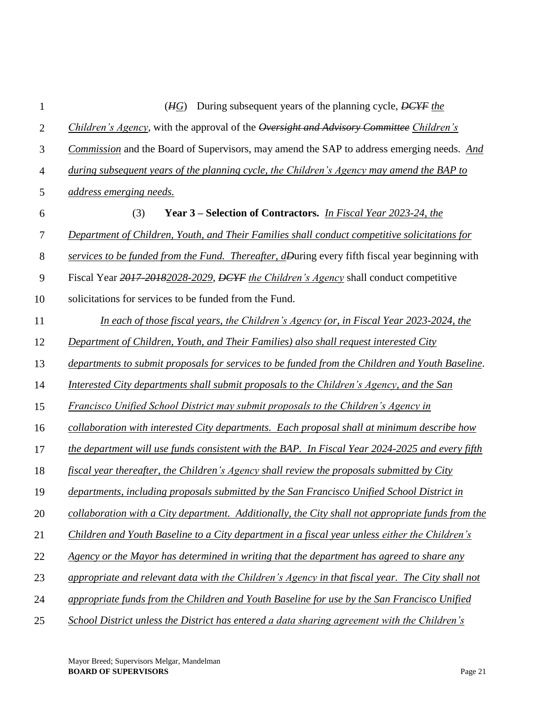| 1              | During subsequent years of the planning cycle, DCYF the<br>(HG)                                   |
|----------------|---------------------------------------------------------------------------------------------------|
| $\mathbf{2}$   | Children's Agency, with the approval of the Oversight and Advisory Committee Children's           |
| 3              | Commission and the Board of Supervisors, may amend the SAP to address emerging needs. And         |
| $\overline{4}$ | during subsequent years of the planning cycle, the Children's Agency may amend the BAP to         |
| 5              | address emerging needs.                                                                           |
| 6              | Year 3 – Selection of Contractors. <i>In Fiscal Year 2023-24, the</i><br>(3)                      |
| $\tau$         | Department of Children, Youth, and Their Families shall conduct competitive solicitations for     |
| $8\,$          | services to be funded from the Fund. Thereafter, dDuring every fifth fiscal year beginning with   |
| 9              | Fiscal Year 2017-20182028-2029, DCYF the Children's Agency shall conduct competitive              |
| 10             | solicitations for services to be funded from the Fund.                                            |
| 11             | In each of those fiscal years, the Children's Agency (or, in Fiscal Year 2023-2024, the           |
| 12             | Department of Children, Youth, and Their Families) also shall request interested City             |
| 13             | departments to submit proposals for services to be funded from the Children and Youth Baseline.   |
| 14             | Interested City departments shall submit proposals to the Children's Agency, and the San          |
| 15             | Francisco Unified School District may submit proposals to the Children's Agency in                |
| 16             | collaboration with interested City departments. Each proposal shall at minimum describe how       |
| 17             | the department will use funds consistent with the BAP. In Fiscal Year 2024-2025 and every fifth   |
| 18             | fiscal year thereafter, the Children's Agency shall review the proposals submitted by City        |
| 19             | departments, including proposals submitted by the San Francisco Unified School District in        |
| 20             | collaboration with a City department. Additionally, the City shall not appropriate funds from the |
| 21             | Children and Youth Baseline to a City department in a fiscal year unless either the Children's    |
| 22             | <u>Agency or the Mayor has determined in writing that the department has agreed to share any</u>  |
| 23             | appropriate and relevant data with the Children's Agency in that fiscal year. The City shall not  |
| 24             | appropriate funds from the Children and Youth Baseline for use by the San Francisco Unified       |
| 25             | School District unless the District has entered a data sharing agreement with the Children's      |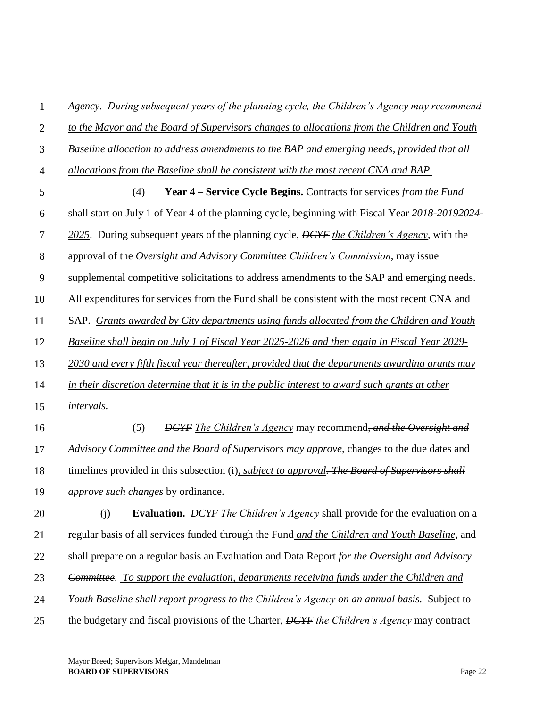| $\mathbf{1}$   | Agency. During subsequent years of the planning cycle, the Children's Agency may recommend            |
|----------------|-------------------------------------------------------------------------------------------------------|
| $\overline{2}$ | to the Mayor and the Board of Supervisors changes to allocations from the Children and Youth          |
| 3              | Baseline allocation to address amendments to the BAP and emerging needs, provided that all            |
| $\overline{4}$ | allocations from the Baseline shall be consistent with the most recent CNA and BAP.                   |
| 5              | Year 4 – Service Cycle Begins. Contracts for services from the Fund<br>(4)                            |
| 6              | shall start on July 1 of Year 4 of the planning cycle, beginning with Fiscal Year 2018 2019 2024      |
| $\tau$         | 2025. During subsequent years of the planning cycle, DCYF the Children's Agency, with the             |
| 8              | approval of the Oversight and Advisory Committee Children's Commission, may issue                     |
| 9              | supplemental competitive solicitations to address amendments to the SAP and emerging needs.           |
| 10             | All expenditures for services from the Fund shall be consistent with the most recent CNA and          |
| 11             | SAP. Grants awarded by City departments using funds allocated from the Children and Youth             |
| 12             | Baseline shall begin on July 1 of Fiscal Year 2025-2026 and then again in Fiscal Year 2029-           |
| 13             | 2030 and every fifth fiscal year thereafter, provided that the departments awarding grants may        |
| 14             | in their discretion determine that it is in the public interest to award such grants at other         |
| 15             | <i>intervals.</i>                                                                                     |
| 16             | (5)<br><b>DCYF</b> The Children's Agency may recommend, and the Oversight and                         |
| 17             | Advisory Committee and the Board of Supervisors may approve, changes to the due dates and             |
| 18             | timelines provided in this subsection (i), <i>subject to approval. The Board of Supervisors shall</i> |
| 19             | <i>approve such changes</i> by ordinance.                                                             |
| 20             | <b>Evaluation.</b> DEYF The Children's Agency shall provide for the evaluation on a<br>(j)            |
| 21             | regular basis of all services funded through the Fund and the Children and Youth Baseline, and        |
| 22             | shall prepare on a regular basis an Evaluation and Data Report for the Oversight and Advisory         |
| 23             | Committee. To support the evaluation, departments receiving funds under the Children and              |
| 24             | Youth Baseline shall report progress to the Children's Agency on an annual basis. Subject to          |
| 25             | the budgetary and fiscal provisions of the Charter, DCYF the Children's Agency may contract           |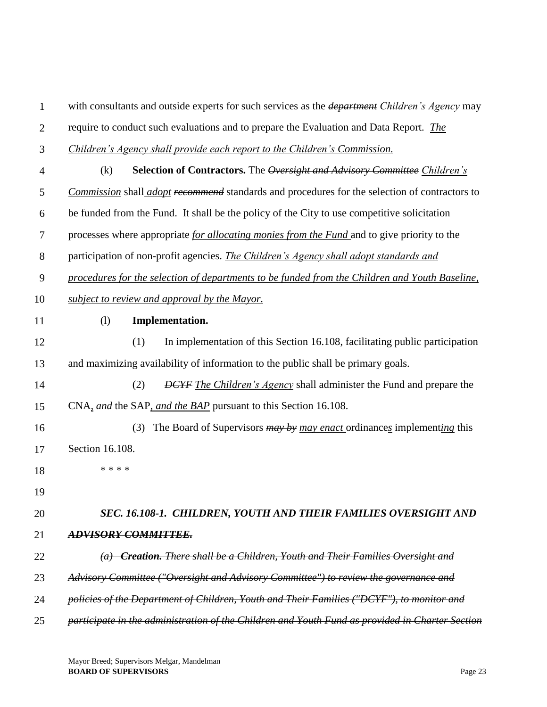1 2 3 4 5 6 7 8 9 10 11 12 13 14 15 16 17 18 19 20 21 22 23 24 25 with consultants and outside experts for such services as the *department Children's Agency* may require to conduct such evaluations and to prepare the Evaluation and Data Report. *The Children's Agency shall provide each report to the Children's Commission.* (k) **Selection of Contractors.** The *Oversight and Advisory Committee Children's Commission* shall *adopt recommend* standards and procedures for the selection of contractors to be funded from the Fund. It shall be the policy of the City to use competitive solicitation processes where appropriate *for allocating monies from the Fund* and to give priority to the participation of non-profit agencies. *The Children's Agency shall adopt standards and procedures for the selection of departments to be funded from the Children and Youth Baseline, subject to review and approval by the Mayor.*  (l) **Implementation.** (1) In implementation of this Section 16.108, facilitating public participation and maximizing availability of information to the public shall be primary goals. (2) *DCYF The Children's Agency* shall administer the Fund and prepare the CNA*, and* the SAP*, and the BAP* pursuant to this Section 16.108. (3) The Board of Supervisors *may by may enact* ordinance*s* implement*ing* this Section 16.108. \* \* \* \* *SEC. 16.108-1. CHILDREN, YOUTH AND THEIR FAMILIES OVERSIGHT AND ADVISORY COMMITTEE. (a) Creation. There shall be a Children, Youth and Their Families Oversight and Advisory Committee ("Oversight and Advisory Committee") to review the governance and policies of the Department of Children, Youth and Their Families ("DCYF"), to monitor and participate in the administration of the Children and Youth Fund as provided in Charter Section*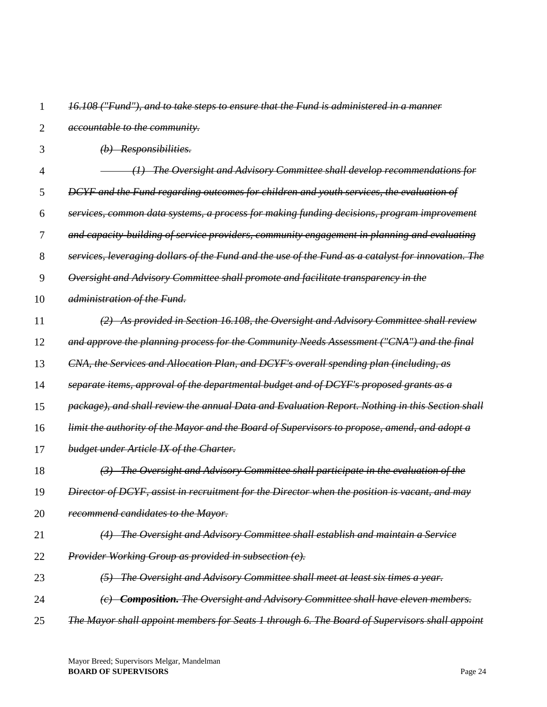| 1              | 16.108 ("Fund"), and to take steps to ensure that the Fund is administered in a manner             |
|----------------|----------------------------------------------------------------------------------------------------|
| $\overline{2}$ | <i>accountable to the community.</i>                                                               |
| 3              | $(b)$ Responsibilities.                                                                            |
| 4              | (1) The Oversight and Advisory Committee shall develop recommendations for                         |
| 5              | DCYF and the Fund regarding outcomes for children and youth services, the evaluation of            |
| 6              | services, common data systems, a process for making funding decisions, program improvement         |
| 7              | and capacity building of service providers, community engagement in planning and evaluating        |
| 8              | services, leveraging dollars of the Fund and the use of the Fund as a catalyst for innovation. The |
| 9              | Oversight and Advisory Committee shall promote and facilitate transparency in the                  |
| 10             | administration of the Fund.                                                                        |
| 11             | (2) As provided in Section 16.108, the Oversight and Advisory Committee shall review               |
| 12             | and approve the planning process for the Community Needs Assessment ("CNA") and the final          |
| 13             | CNA, the Services and Allocation Plan, and DCYF's overall spending plan (including, as             |
| 14             | separate items, approval of the departmental budget and of DCYF's proposed grants as a             |
| 15             | package), and shall review the annual Data and Evaluation Report. Nothing in this Section shall    |
| 16             | limit the authority of the Mayor and the Board of Supervisors to propose, amend, and adopt a       |
| 17             | budget under Article IX of the Charter.                                                            |
| 18             | (3) The Oversight and Advisory Committee shall participate in the evaluation of the                |
| 19             | Director of DCYF, assist in recruitment for the Director when the position is vacant, and may      |
| 20             | recommend candidates to the Mayor.                                                                 |
| 21             | (4) The Oversight and Advisory Committee shall establish and maintain a Service                    |
| 22             | <b>Provider Working Group as provided in subsection (e).</b>                                       |
| 23             | (5) The Oversight and Advisory Committee shall meet at least six times a year.                     |
| 24             | (c) <b>Composition.</b> The Oversight and Advisory Committee shall have eleven members.            |
| 25             | The Mayor shall appoint members for Seats 1 through 6. The Board of Supervisors shall appoint      |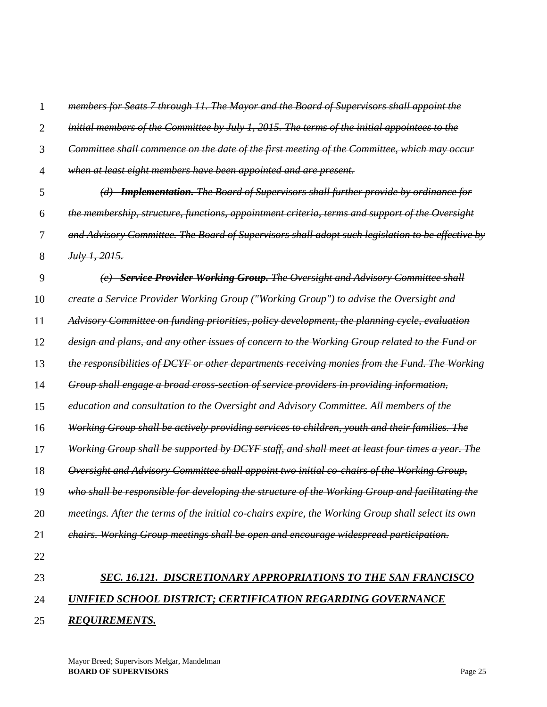| 24 | UNIFIED SCHOOL DISTRICT; CERTIFICATION REGARDING GOVERNANCE                                       |
|----|---------------------------------------------------------------------------------------------------|
| 23 | SEC. 16.121. DISCRETIONARY APPROPRIATIONS TO THE SAN FRANCISCO                                    |
| 22 |                                                                                                   |
| 21 | chairs. Working Group meetings shall be open and encourage widespread participation.              |
| 20 | meetings. After the terms of the initial co-chairs expire, the Working Group shall select its own |
| 19 | who shall be responsible for developing the structure of the Working Group and facilitating the   |
| 18 | Oversight and Advisory Committee shall appoint two initial co-chairs of the Working Group,        |
| 17 | Working Group shall be supported by DCYF staff, and shall meet at least four times a year. The    |
| 16 | Working Group shall be actively providing services to children, youth and their families. The     |
| 15 | education and consultation to the Oversight and Advisory Committee. All members of the            |
| 14 | Group shall engage a broad cross-section of service providers in providing information,           |
| 13 | the responsibilities of DCYF or other departments receiving monies from the Fund. The Working     |
| 12 | design and plans, and any other issues of concern to the Working Group related to the Fund or     |
| 11 | Advisory Committee on funding priorities, policy development, the planning cycle, evaluation      |
| 10 | create a Service Provider Working Group ("Working Group") to advise the Oversight and             |
| 9  | (e) Service Provider Working Group. The Oversight and Advisory Committee shall                    |
| 8  | July 1, 2015.                                                                                     |
| 7  | and Advisory Committee. The Board of Supervisors shall adopt such legislation to be effective by  |
| 6  | the membership, structure, functions, appointment criteria, terms and support of the Oversight    |
| 5  | (d) <b>Implementation.</b> The Board of Supervisors shall further provide by ordinance for        |
| 4  | when at least eight members have been appointed and are present.                                  |
| 3  | Committee shall commence on the date of the first meeting of the Committee, which may occur       |
| 2  | initial members of the Committee by July 1, 2015. The terms of the initial appointees to the      |
| 1  | members for Seats 7 through 11. The Mayor and the Board of Supervisors shall appoint the          |

25 *REQUIREMENTS.*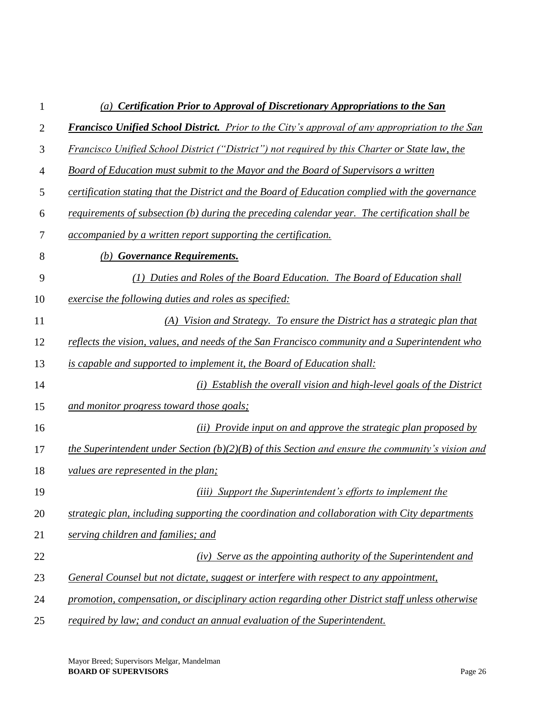| 1  | (a) Certification Prior to Approval of Discretionary Appropriations to the San                         |
|----|--------------------------------------------------------------------------------------------------------|
| 2  | <b>Francisco Unified School District.</b> Prior to the City's approval of any appropriation to the San |
| 3  | Francisco Unified School District ("District") not required by this Charter or State law, the          |
| 4  | Board of Education must submit to the Mayor and the Board of Supervisors a written                     |
| 5  | certification stating that the District and the Board of Education complied with the governance        |
| 6  | requirements of subsection (b) during the preceding calendar year. The certification shall be          |
| 7  | <i>accompanied by a written report supporting the certification.</i>                                   |
| 8  | <b>Governance Requirements.</b><br>(b)                                                                 |
| 9  | Duties and Roles of the Board Education. The Board of Education shall                                  |
| 10 | exercise the following duties and roles as specified:                                                  |
| 11 | (A) Vision and Strategy. To ensure the District has a strategic plan that                              |
| 12 | reflects the vision, values, and needs of the San Francisco community and a Superintendent who         |
| 13 | is capable and supported to implement it, the Board of Education shall:                                |
| 14 | Establish the overall vision and high-level goals of the District                                      |
| 15 | and monitor progress toward those goals;                                                               |
| 16 | (ii) Provide input on and approve the strategic plan proposed by                                       |
| 17 | the Superintendent under Section $(b)(2)(B)$ of this Section and ensure the community's vision and     |
| 18 | values are represented in the plan;                                                                    |
| 19 | <i>(iii)</i> Support the Superintendent's efforts to implement the                                     |
| 20 | strategic plan, including supporting the coordination and collaboration with City departments          |
| 21 | serving children and families; and                                                                     |
| 22 | (iv) Serve as the appointing authority of the Superintendent and                                       |
| 23 | General Counsel but not dictate, suggest or interfere with respect to any appointment,                 |
| 24 | promotion, compensation, or disciplinary action regarding other District staff unless otherwise        |
| 25 | required by law; and conduct an annual evaluation of the Superintendent.                               |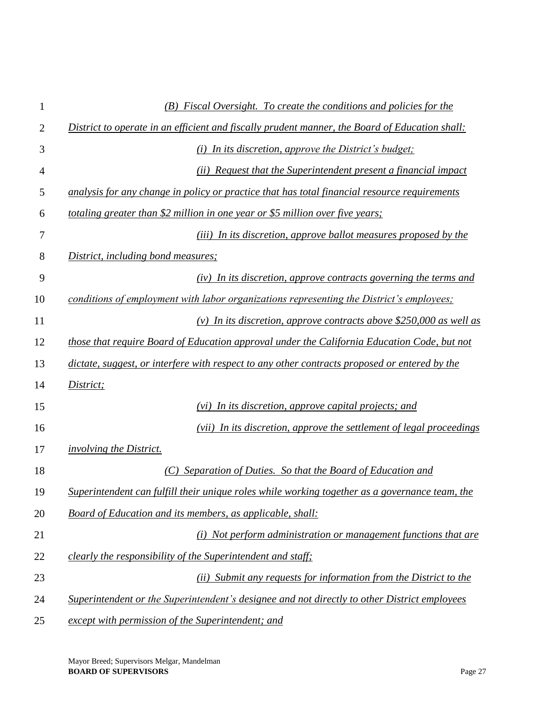| $\mathbf{1}$   | (B) Fiscal Oversight. To create the conditions and policies for the                            |
|----------------|------------------------------------------------------------------------------------------------|
| 2              | District to operate in an efficient and fiscally prudent manner, the Board of Education shall: |
| 3              | $(i)$ In its discretion, approve the District's budget;                                        |
| $\overline{4}$ | (ii) Request that the Superintendent present a financial impact                                |
| 5              | analysis for any change in policy or practice that has total financial resource requirements   |
| 6              | totaling greater than \$2 million in one year or \$5 million over five years;                  |
| 7              | (iii) In its discretion, approve ballot measures proposed by the                               |
| 8              | District, including bond measures;                                                             |
| 9              | (iv) In its discretion, approve contracts governing the terms and                              |
| 10             | conditions of employment with labor organizations representing the District's employees;       |
| 11             | (v) In its discretion, approve contracts above \$250,000 as well as                            |
| 12             | those that require Board of Education approval under the California Education Code, but not    |
| 13             | dictate, suggest, or interfere with respect to any other contracts proposed or entered by the  |
| 14             | District;                                                                                      |
| 15             | $(vi)$ In its discretion, approve capital projects; and                                        |
| 16             | (vii) In its discretion, approve the settlement of legal proceedings                           |
| 17             | <i>involving the District.</i>                                                                 |
| 18             | Separation of Duties. So that the Board of Education and                                       |
| 19             | Superintendent can fulfill their unique roles while working together as a governance team, the |
| 20             | Board of Education and its members, as applicable, shall:                                      |
| 21             | $(i)$ Not perform administration or management functions that are                              |
| 22             | clearly the responsibility of the Superintendent and staff;                                    |
| 23             | (ii) Submit any requests for information from the District to the                              |
| 24             | Superintendent or the Superintendent's designee and not directly to other District employees   |
| 25             | except with permission of the Superintendent; and                                              |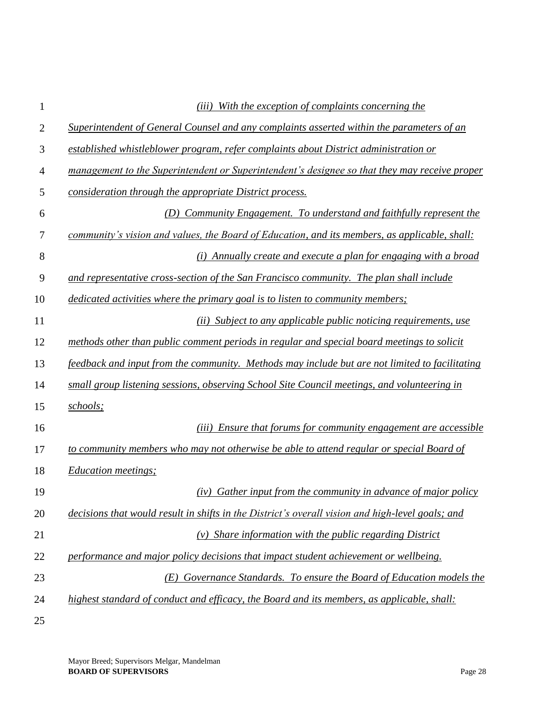| 1  | With the exception of complaints concerning the<br>(iii)                                         |
|----|--------------------------------------------------------------------------------------------------|
| 2  | Superintendent of General Counsel and any complaints asserted within the parameters of an        |
| 3  | established whistleblower program, refer complaints about District administration or             |
| 4  | management to the Superintendent or Superintendent's designee so that they may receive proper    |
| 5  | consideration through the appropriate District process.                                          |
| 6  | (D) Community Engagement. To understand and faithfully represent the                             |
| 7  | community's vision and values, the Board of Education, and its members, as applicable, shall:    |
| 8  | (i) Annually create and execute a plan for engaging with a broad                                 |
| 9  | and representative cross-section of the San Francisco community. The plan shall include          |
| 10 | dedicated activities where the primary goal is to listen to community members;                   |
| 11 | (ii) Subject to any applicable public noticing requirements, use                                 |
| 12 | methods other than public comment periods in regular and special board meetings to solicit       |
| 13 | feedback and input from the community. Methods may include but are not limited to facilitating   |
| 14 | small group listening sessions, observing School Site Council meetings, and volunteering in      |
| 15 | schools;                                                                                         |
| 16 | (iii) Ensure that forums for community engagement are accessible                                 |
| 17 | to community members who may not otherwise be able to attend regular or special Board of         |
| 18 | <i>Education meetings;</i>                                                                       |
| 19 | (iv) Gather input from the community in advance of major policy                                  |
| 20 | decisions that would result in shifts in the District's overall vision and high-level goals; and |
| 21 | $(v)$ Share information with the public regarding District                                       |
| 22 | performance and major policy decisions that impact student achievement or wellbeing.             |
| 23 | Governance Standards. To ensure the Board of Education models the<br>(E)                         |
| 24 | highest standard of conduct and efficacy, the Board and its members, as applicable, shall:       |
| 25 |                                                                                                  |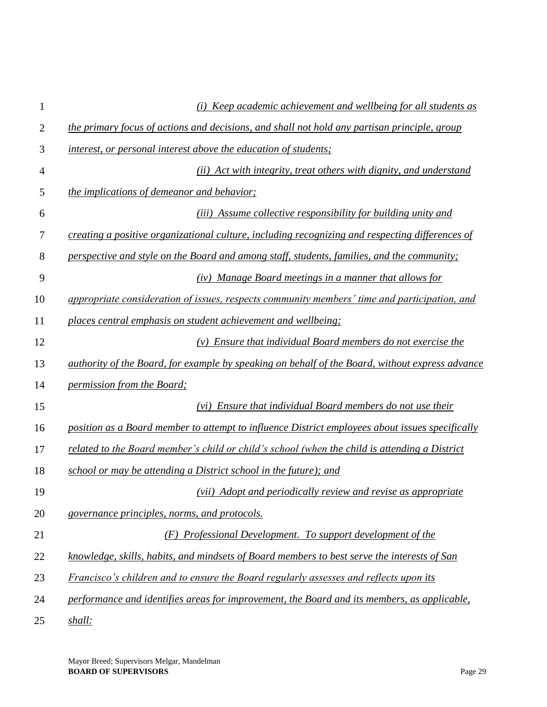| 1              | (i) Keep academic achievement and wellbeing for all students as                                 |
|----------------|-------------------------------------------------------------------------------------------------|
| $\overline{2}$ | the primary focus of actions and decisions, and shall not hold any partisan principle, group    |
| 3              | interest, or personal interest above the education of students;                                 |
| 4              | (ii) Act with integrity, treat others with dignity, and understand                              |
| 5              | <i>the implications of demeanor and behavior;</i>                                               |
| 6              | (iii) Assume collective responsibility for building unity and                                   |
| 7              | creating a positive organizational culture, including recognizing and respecting differences of |
| 8              | perspective and style on the Board and among staff, students, families, and the community;      |
| 9              | (iv) Manage Board meetings in a manner that allows for                                          |
| 10             | appropriate consideration of issues, respects community members' time and participation, and    |
| 11             | places central emphasis on student achievement and wellbeing;                                   |
| 12             | $(v)$ Ensure that individual Board members do not exercise the                                  |
| 13             | authority of the Board, for example by speaking on behalf of the Board, without express advance |
| 14             | permission from the Board;                                                                      |
| 15             | (vi) Ensure that individual Board members do not use their                                      |
| 16             | position as a Board member to attempt to influence District employees about issues specifically |
| 17             | related to the Board member's child or child's school (when the child is attending a District   |
| 18             | school or may be attending a District school in the future); and                                |
| 19             | (vii) Adopt and periodically review and revise as appropriate                                   |
| 20             | governance principles, norms, and protocols.                                                    |
| 21             | (F) Professional Development. To support development of the                                     |
| 22             | knowledge, skills, habits, and mindsets of Board members to best serve the interests of San     |
| 23             | Francisco's children and to ensure the Board regularly assesses and reflects upon its           |
| 24             | performance and identifies areas for improvement, the Board and its members, as applicable,     |
| 25             | shall:                                                                                          |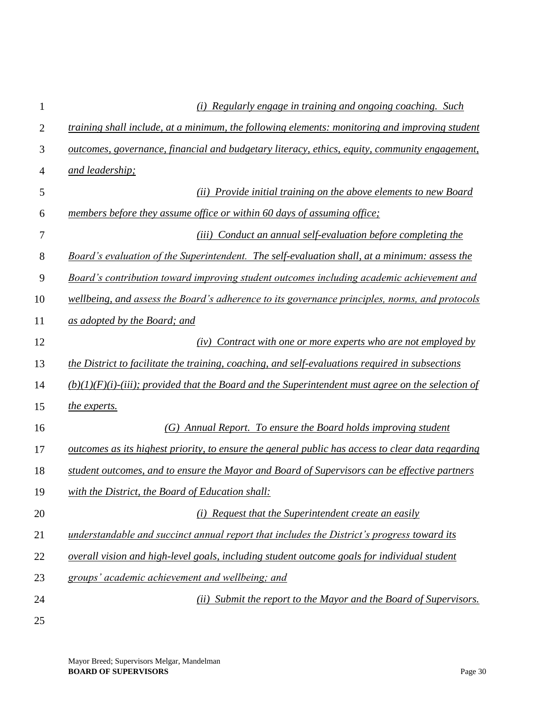| 1              | (i) Regularly engage in training and ongoing coaching. Such                                          |
|----------------|------------------------------------------------------------------------------------------------------|
| $\overline{2}$ | training shall include, at a minimum, the following elements: monitoring and improving student       |
| 3              | outcomes, governance, financial and budgetary literacy, ethics, equity, community engagement,        |
| 4              | and leadership;                                                                                      |
| 5              | (ii) Provide initial training on the above elements to new Board                                     |
| 6              | members before they assume office or within 60 days of assuming office;                              |
| 7              | Conduct an annual self-evaluation before completing the<br>(iii)                                     |
| 8              | Board's evaluation of the Superintendent. The self-evaluation shall, at a minimum: assess the        |
| 9              | Board's contribution toward improving student outcomes including academic achievement and            |
| 10             | wellbeing, and assess the Board's adherence to its governance principles, norms, and protocols       |
| 11             | as adopted by the Board; and                                                                         |
| 12             | Contract with one or more experts who are not employed by<br>(iv)                                    |
| 13             | the District to facilitate the training, coaching, and self-evaluations required in subsections      |
| 14             | $(b)(1)(F)(i)$ -(iii); provided that the Board and the Superintendent must agree on the selection of |
| 15             | the experts.                                                                                         |
| 16             | (G) Annual Report. To ensure the Board holds improving student                                       |
| 17             | outcomes as its highest priority, to ensure the general public has access to clear data regarding    |
| 18             | student outcomes, and to ensure the Mayor and Board of Supervisors can be effective partners         |
| 19             | with the District, the Board of Education shall:                                                     |
| 20             | (i) Request that the Superintendent create an easily                                                 |
| 21             | understandable and succinct annual report that includes the District's progress toward its           |
| 22             | overall vision and high-level goals, including student outcome goals for individual student          |
| 23             | groups' academic achievement and wellbeing; and                                                      |
| 24             | (ii) Submit the report to the Mayor and the Board of Supervisors.                                    |
| 25             |                                                                                                      |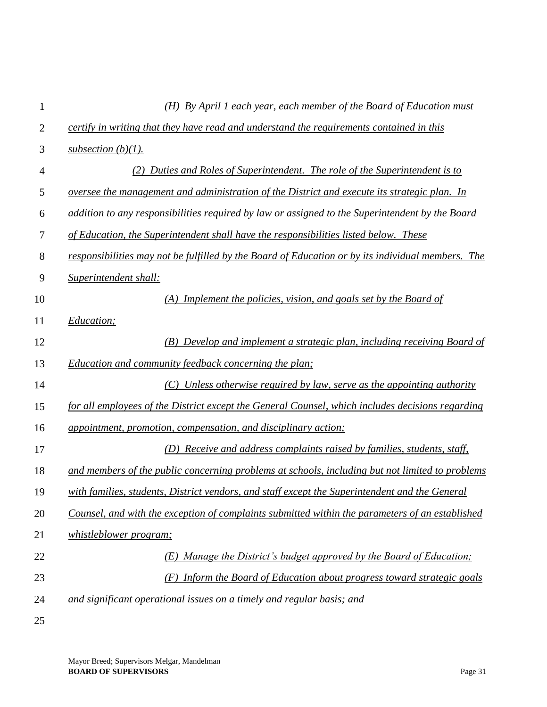| 1              | $(H)$ By April 1 each year, each member of the Board of Education must                            |
|----------------|---------------------------------------------------------------------------------------------------|
| $\overline{2}$ | certify in writing that they have read and understand the requirements contained in this          |
| 3              | subsection $(b)(1)$ .                                                                             |
| 4              | (2) Duties and Roles of Superintendent. The role of the Superintendent is to                      |
| 5              | oversee the management and administration of the District and execute its strategic plan. In      |
| 6              | addition to any responsibilities required by law or assigned to the Superintendent by the Board   |
| 7              | of Education, the Superintendent shall have the responsibilities listed below. These              |
| 8              | responsibilities may not be fulfilled by the Board of Education or by its individual members. The |
| 9              | Superintendent shall:                                                                             |
| 10             | $(A)$ Implement the policies, vision, and goals set by the Board of                               |
| 11             | Education;                                                                                        |
| 12             | (B) Develop and implement a strategic plan, including receiving Board of                          |
| 13             | Education and community feedback concerning the plan;                                             |
| 14             | $(C)$ Unless otherwise required by law, serve as the appointing authority                         |
| 15             | for all employees of the District except the General Counsel, which includes decisions regarding  |
| 16             | appointment, promotion, compensation, and disciplinary action;                                    |
| 17             | (D) Receive and address complaints raised by families, students, staff,                           |
| 18             | and members of the public concerning problems at schools, including but not limited to problems   |
| 19             | with families, students, District vendors, and staff except the Superintendent and the General    |
| 20             | Counsel, and with the exception of complaints submitted within the parameters of an established   |
| 21             | <i>whistleblower program;</i>                                                                     |
| 22             | Manage the District's budget approved by the Board of Education;<br>(E)                           |
| 23             | (F) Inform the Board of Education about progress toward strategic goals                           |
| 24             | and significant operational issues on a timely and regular basis; and                             |
| 25             |                                                                                                   |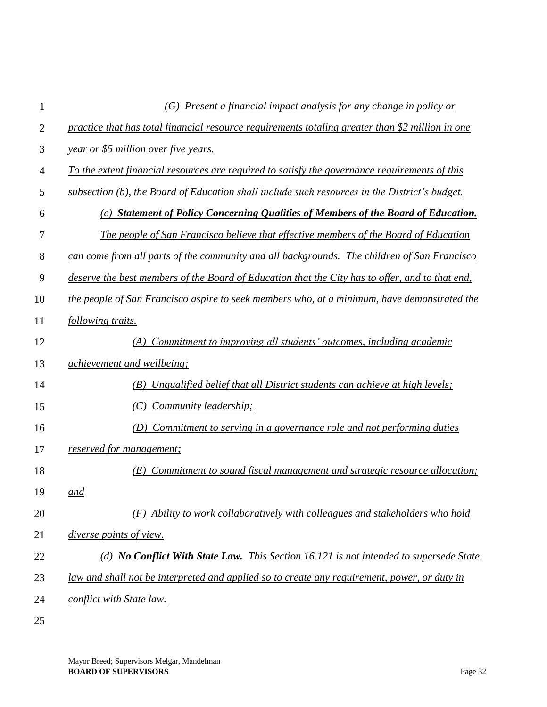| 1  | $(G)$ Present a financial impact analysis for any change in policy or                            |
|----|--------------------------------------------------------------------------------------------------|
| 2  | practice that has total financial resource requirements totaling greater than \$2 million in one |
| 3  | year or \$5 million over five years.                                                             |
| 4  | To the extent financial resources are required to satisfy the governance requirements of this    |
| 5  | subsection (b), the Board of Education shall include such resources in the District's budget.    |
| 6  | (c) Statement of Policy Concerning Qualities of Members of the Board of Education.               |
| 7  | The people of San Francisco believe that effective members of the Board of Education             |
| 8  | can come from all parts of the community and all backgrounds. The children of San Francisco      |
| 9  | deserve the best members of the Board of Education that the City has to offer, and to that end,  |
| 10 | the people of San Francisco aspire to seek members who, at a minimum, have demonstrated the      |
| 11 | following traits.                                                                                |
| 12 | (A) Commitment to improving all students' outcomes, including academic                           |
| 13 | <i>achievement and wellbeing;</i>                                                                |
| 14 | (B) Unqualified belief that all District students can achieve at high levels;                    |
| 15 | (C) Community leadership;                                                                        |
| 16 | (D) Commitment to serving in a governance role and not performing duties                         |
| 17 | reserved for management;                                                                         |
| 18 | Commitment to sound fiscal management and strategic resource allocation;<br>(E)                  |
| 19 | and                                                                                              |
| 20 | (F) Ability to work collaboratively with colleagues and stakeholders who hold                    |
| 21 | diverse points of view.                                                                          |
| 22 | (d) No Conflict With State Law. This Section 16.121 is not intended to supersede State           |
| 23 | law and shall not be interpreted and applied so to create any requirement, power, or duty in     |
| 24 | conflict with State law.                                                                         |
| 25 |                                                                                                  |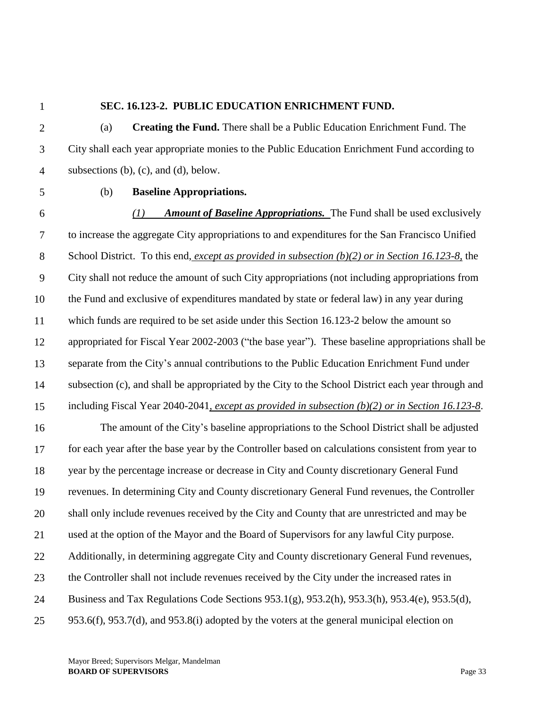#### **SEC. 16.123-2. PUBLIC EDUCATION ENRICHMENT FUND.**

2 3 4 (a) **Creating the Fund.** There shall be a Public Education Enrichment Fund. The City shall each year appropriate monies to the Public Education Enrichment Fund according to subsections (b), (c), and (d), below.

5

## (b) **Baseline Appropriations.**

6 7 8 9 10 11 12 13 14 15 16 17 18 19 20 21 *(1) Amount of Baseline Appropriations.* The Fund shall be used exclusively to increase the aggregate City appropriations to and expenditures for the San Francisco Unified School District. To this end, *except as provided in subsection (b)(2) or in Section 16.123-8,* the City shall not reduce the amount of such City appropriations (not including appropriations from the Fund and exclusive of expenditures mandated by state or federal law) in any year during which funds are required to be set aside under this Section 16.123-2 below the amount so appropriated for Fiscal Year 2002-2003 ("the base year"). These baseline appropriations shall be separate from the City's annual contributions to the Public Education Enrichment Fund under subsection (c), and shall be appropriated by the City to the School District each year through and including Fiscal Year 2040-2041*, except as provided in subsection (b)(2) or in Section 16.123-8*. The amount of the City's baseline appropriations to the School District shall be adjusted for each year after the base year by the Controller based on calculations consistent from year to year by the percentage increase or decrease in City and County discretionary General Fund revenues. In determining City and County discretionary General Fund revenues, the Controller shall only include revenues received by the City and County that are unrestricted and may be used at the option of the Mayor and the Board of Supervisors for any lawful City purpose.

22 Additionally, in determining aggregate City and County discretionary General Fund revenues,

23 the Controller shall not include revenues received by the City under the increased rates in

24 Business and Tax Regulations Code Sections 953.1(g), 953.2(h), 953.3(h), 953.4(e), 953.5(d),

25 953.6(f), 953.7(d), and 953.8(i) adopted by the voters at the general municipal election on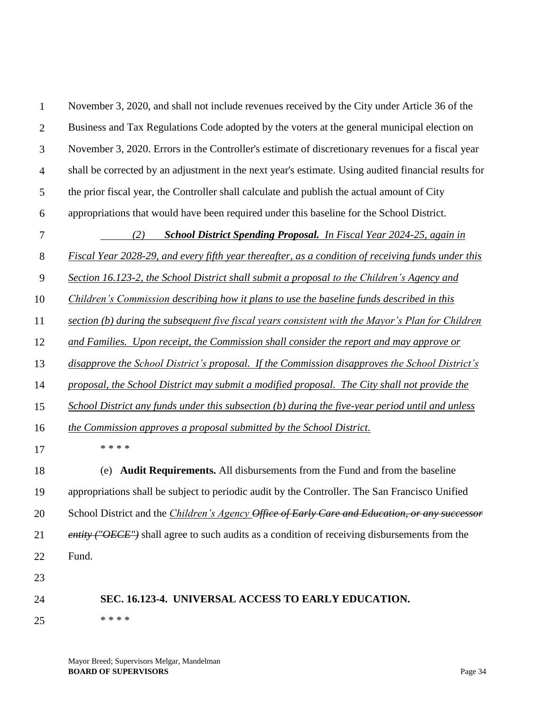| $\mathbf{1}$   | November 3, 2020, and shall not include revenues received by the City under Article 36 of the         |
|----------------|-------------------------------------------------------------------------------------------------------|
| $\overline{2}$ | Business and Tax Regulations Code adopted by the voters at the general municipal election on          |
| 3              | November 3, 2020. Errors in the Controller's estimate of discretionary revenues for a fiscal year     |
| $\overline{4}$ | shall be corrected by an adjustment in the next year's estimate. Using audited financial results for  |
| 5              | the prior fiscal year, the Controller shall calculate and publish the actual amount of City           |
| 6              | appropriations that would have been required under this baseline for the School District.             |
| $\tau$         | <b>School District Spending Proposal.</b> In Fiscal Year 2024-25, again in<br>(2)                     |
| $8\,$          | Fiscal Year 2028-29, and every fifth year thereafter, as a condition of receiving funds under this    |
| 9              | Section 16.123-2, the School District shall submit a proposal to the Children's Agency and            |
| 10             | Children's Commission describing how it plans to use the baseline funds described in this             |
| 11             | section (b) during the subsequent five fiscal years consistent with the Mayor's Plan for Children     |
| 12             | and Families. Upon receipt, the Commission shall consider the report and may approve or               |
| 13             | disapprove the School District's proposal. If the Commission disapproves the School District's        |
| 14             | proposal, the School District may submit a modified proposal. The City shall not provide the          |
| 15             | School District any funds under this subsection (b) during the five-year period until and unless      |
| 16             | the Commission approves a proposal submitted by the School District.                                  |
| 17             | * * * *                                                                                               |
| 18             | Audit Requirements. All disbursements from the Fund and from the baseline<br>(e)                      |
| 19             | appropriations shall be subject to periodic audit by the Controller. The San Francisco Unified        |
| 20             | School District and the <i>Children's Agency Office of Early Care and Education, or any successor</i> |
| 21             | <i>entity</i> ("OECE") shall agree to such audits as a condition of receiving disbursements from the  |
| 22             | Fund.                                                                                                 |
| 23             |                                                                                                       |
| 24             | SEC. 16.123-4. UNIVERSAL ACCESS TO EARLY EDUCATION.                                                   |
| 25             | * * * *                                                                                               |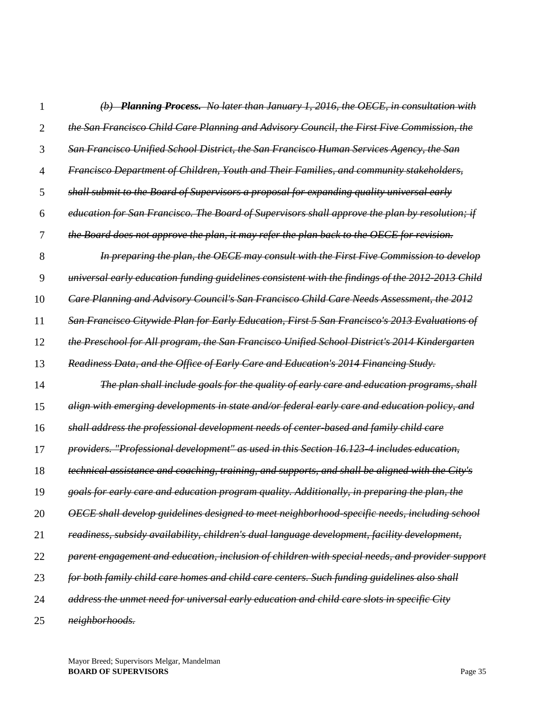| 1  | (b) Planning Process. No later than January 1, 2016, the OECE, in consultation with              |
|----|--------------------------------------------------------------------------------------------------|
| 2  | the San Francisco Child Care Planning and Advisory Council, the First Five Commission, the       |
| 3  | <u>San Francisco Unified School District, the San Francisco Human Services Agency, the San</u>   |
| 4  | Francisco Department of Children, Youth and Their Families, and community stakeholders,          |
| 5  | shall submit to the Board of Supervisors a proposal for expanding quality universal early        |
| 6  | education for San Francisco. The Board of Supervisors shall approve the plan by resolution; if   |
| 7  | the Board does not approve the plan, it may refer the plan back to the OECE for revision.        |
| 8  | In preparing the plan, the OECE may consult with the First Five Commission to develop            |
| 9  | universal early education funding guidelines consistent with the findings of the 2012-2013 Child |
| 10 | Care Planning and Advisory Council's San Francisco Child Care Needs Assessment. the 2012         |
| 11 | San Francisco Citywide Plan for Early Education, First 5 San Francisco's 2013 Evaluations of     |
| 12 | the Preschool for All program, the San Francisco Unified School District's 2014 Kindergarten     |
| 13 | Readiness Data, and the Office of Early Care and Education's 2014 Financing Study.               |
| 14 | The plan shall include goals for the quality of early care and education programs, shall         |
| 15 | align with emerging developments in state and/or federal early care and education policy, and    |
| 16 | shall address the professional development needs of center-based and family child care           |
| 17 | providers. "Professional development" as used in this Section 16.123-4 includes education.       |
| 18 | technical assistance and coaching, training, and supports, and shall be aligned with the City's  |
| 19 | goals for early care and education program quality. Additionally, in preparing the plan, the     |
| 20 | OECE shall develop guidelines designed to meet neighborhood-specific needs, including school     |
| 21 | readiness, subsidy availability, children's dual language development, facility development,     |
| 22 | parent engagement and education, inclusion of children with special needs, and provider support  |
| 23 | for both family child care homes and child care centers. Such funding guidelines also shall      |
| 24 | address the unmet need for universal early education and child care slots in specific City       |
| 25 | neighborhoods.                                                                                   |

Mayor Breed; Supervisors Melgar, Mandelman **BOARD OF SUPERVISORS** Page 35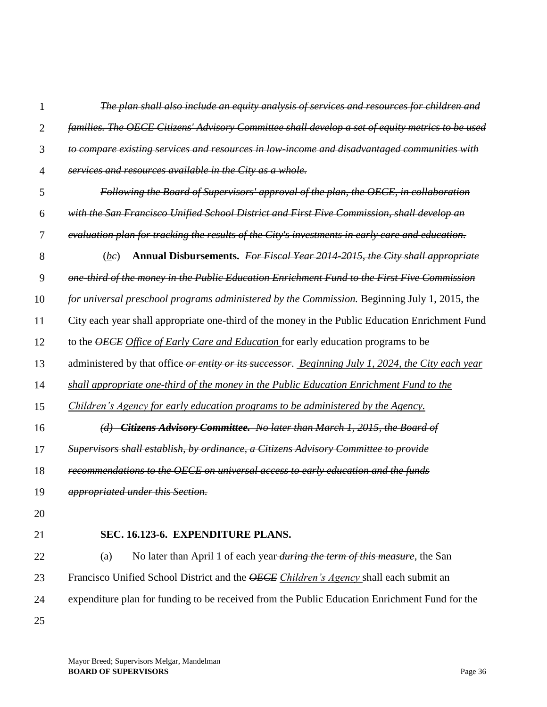| $\overline{2}$ | families. The OECE Citizens' Advisory Committee shall develop a set of equity metrics to be used   |
|----------------|----------------------------------------------------------------------------------------------------|
| 3              | to compare existing services and resources in low-income and disadvantaged communities with        |
| $\overline{4}$ | services and resources available in the City as a whole.                                           |
| 5              | Following the Board of Supervisors' approval of the plan, the OECE, in collaboration               |
| 6              | with the San Francisco Unified School District and First Five Commission, shall develop an         |
| $\tau$         | evaluation plan for tracking the results of the City's investments in early care and education.    |
| 8              | Annual Disbursements. For Fiscal Year 2014-2015, the City shall appropriate<br>(be)                |
| 9              | one third of the money in the Public Education Enrichment Fund to the First Five Commission        |
| 10             | for universal preschool programs administered by the Commission. Beginning July 1, 2015, the       |
| 11             | City each year shall appropriate one-third of the money in the Public Education Enrichment Fund    |
| 12             | to the <b>OECE</b> Office of Early Care and Education for early education programs to be           |
| 13             | administered by that office or entity or its successor. Beginning July 1, 2024, the City each year |
| 14             | shall appropriate one-third of the money in the Public Education Enrichment Fund to the            |
| 15             | Children's Agency for early education programs to be administered by the Agency.                   |
| 16             | (d) Citizens Advisory Committee. No later than March 1, 2015, the Board of                         |
| 17             | Supervisors shall establish, by ordinance, a Citizens Advisory Committee to provide                |
| 18             | recommendations to the OECE on universal access to early education and the funds                   |
| 19             | <i>appropriated under this Section.</i>                                                            |
| 20             |                                                                                                    |
| 21             | SEC. 16.123-6. EXPENDITURE PLANS.                                                                  |
|                |                                                                                                    |

*The plan shall also include an equity analysis of services and resources for children and* 

22 23 24 25 (a) No later than April 1 of each year *during the term of this measure*, the San Francisco Unified School District and the *OECE Children's Agency* shall each submit an expenditure plan for funding to be received from the Public Education Enrichment Fund for the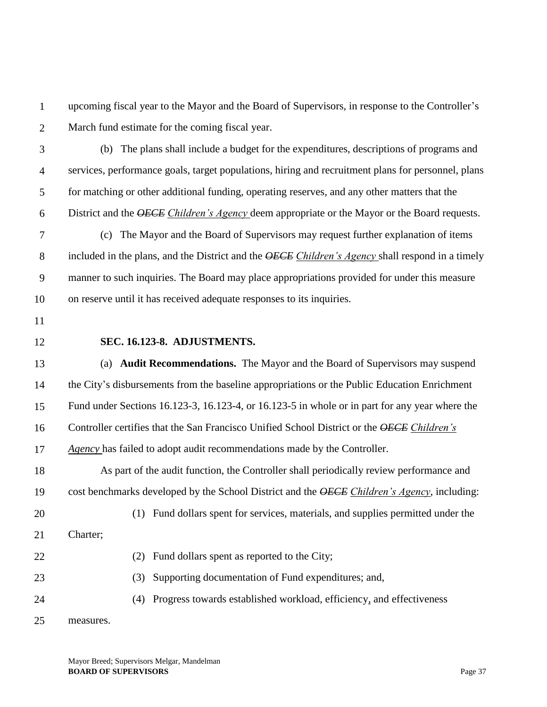1 2 upcoming fiscal year to the Mayor and the Board of Supervisors, in response to the Controller's March fund estimate for the coming fiscal year.

- 3 4 5 6 (b) The plans shall include a budget for the expenditures, descriptions of programs and services, performance goals, target populations, hiring and recruitment plans for personnel, plans for matching or other additional funding, operating reserves, and any other matters that the District and the *OECE Children's Agency* deem appropriate or the Mayor or the Board requests.
- 7 8 9 10 (c) The Mayor and the Board of Supervisors may request further explanation of items included in the plans, and the District and the *OECE Children's Agency* shall respond in a timely manner to such inquiries. The Board may place appropriations provided for under this measure on reserve until it has received adequate responses to its inquiries.
- 11
- 12

#### **SEC. 16.123-8. ADJUSTMENTS.**

13 14 15 16 17 (a) **Audit Recommendations.** The Mayor and the Board of Supervisors may suspend the City's disbursements from the baseline appropriations or the Public Education Enrichment Fund under Sections 16.123-3, 16.123-4, or 16.123-5 in whole or in part for any year where the Controller certifies that the San Francisco Unified School District or the *OECE Children's Agency* has failed to adopt audit recommendations made by the Controller.

18 19 20 As part of the audit function, the Controller shall periodically review performance and cost benchmarks developed by the School District and the *OECE Children's Agency*, including: (1) Fund dollars spent for services, materials, and supplies permitted under the

21 Charter;

22

- (2) Fund dollars spent as reported to the City;
- (3) Supporting documentation of Fund expenditures; and,
- 24 (4) Progress towards established workload, efficiency*,* and effectiveness
- 25 measures.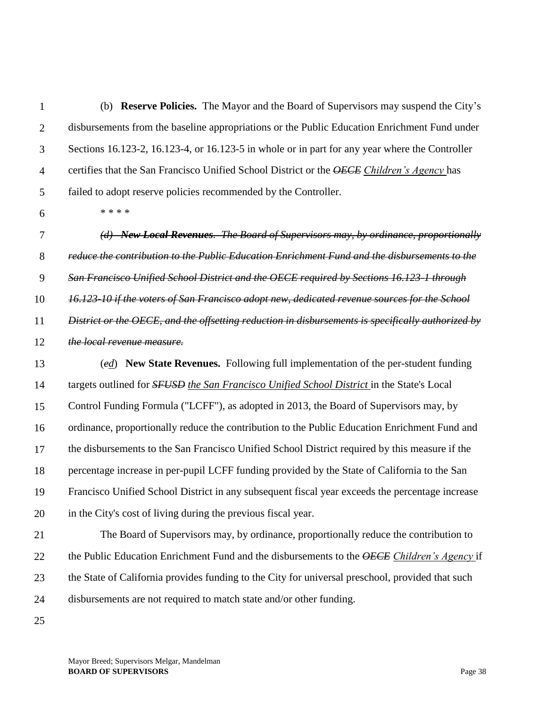1 2 3 4 5 (b) **Reserve Policies.** The Mayor and the Board of Supervisors may suspend the City's disbursements from the baseline appropriations or the Public Education Enrichment Fund under Sections 16.123-2, 16.123-4, or 16.123-5 in whole or in part for any year where the Controller certifies that the San Francisco Unified School District or the *OECE Children's Agency* has failed to adopt reserve policies recommended by the Controller.

6

\* \* \* \*

7 8 9 10 11 12 13 14 15 16 17 18 19 20 21 *(d) New Local Revenues. The Board of Supervisors may, by ordinance, proportionally reduce the contribution to the Public Education Enrichment Fund and the disbursements to the San Francisco Unified School District and the OECE required by Sections 16.123-1 through 16.123-10 if the voters of San Francisco adopt new, dedicated revenue sources for the School District or the OECE, and the offsetting reduction in disbursements is specifically authorized by the local revenue measure.*  (*ed*) **New State Revenues.** Following full implementation of the per-student funding targets outlined for *SFUSD the San Francisco Unified School District* in the State's Local Control Funding Formula ("LCFF"), as adopted in 2013, the Board of Supervisors may, by ordinance, proportionally reduce the contribution to the Public Education Enrichment Fund and the disbursements to the San Francisco Unified School District required by this measure if the percentage increase in per-pupil LCFF funding provided by the State of California to the San Francisco Unified School District in any subsequent fiscal year exceeds the percentage increase in the City's cost of living during the previous fiscal year. The Board of Supervisors may, by ordinance, proportionally reduce the contribution to

22 23 the Public Education Enrichment Fund and the disbursements to the *OECE Children's Agency* if the State of California provides funding to the City for universal preschool, provided that such

24 disbursements are not required to match state and/or other funding.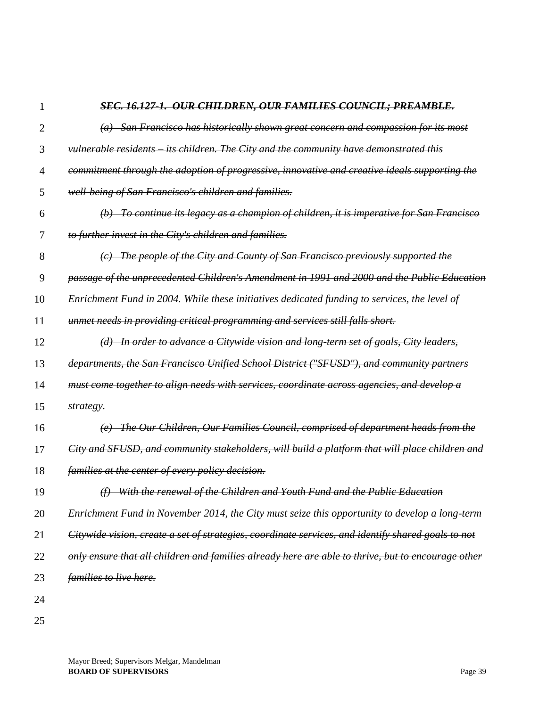# *SEC. 16.127-1. OUR CHILDREN, OUR FAMILIES COUNCIL; PREAMBLE.*

| $\overline{2}$ | $(a)$ San Francisco has historically shown great concern and compassion for its most               |
|----------------|----------------------------------------------------------------------------------------------------|
| 3              | vulnerable residents its children. The City and the community have demonstrated this               |
| 4              | commitment through the adoption of progressive, innovative and creative ideals supporting the      |
| 5              | well-being of San Francisco's children and families.                                               |
| 6              | $(b)$ To continue its legacy as a champion of children, it is imperative for San Francisco         |
| 7              | to further invest in the City's children and families.                                             |
| 8              | (c) The people of the City and County of San Francisco previously supported the                    |
| 9              | passage of the unprecedented Children's Amendment in 1991 and 2000 and the Public Education        |
| 10             | Enrichment Fund in 2004. While these initiatives dedicated funding to services, the level of       |
| 11             | unmet needs in providing critical programming and services still falls short.                      |
| 12             | (d) In order to advance a Citywide vision and long-term set of goals, City leaders,                |
| 13             | departments, the San Francisco Unified School District ("SFUSD"), and community partners           |
| 14             | must come together to align needs with services, coordinate across agencies, and develop a         |
| 15             | strategy.                                                                                          |
| 16             | (e) The Our Children, Our Families Council, comprised of department heads from the                 |
| 17             | City and SFUSD, and community stakeholders, will build a platform that will place children and     |
| 18             | families at the center of every policy decision.                                                   |
| 19             | $(f)$ With the renewal of the Children and Youth Fund and the Public Education                     |
| 20             | Enrichment Fund in November 2014, the City must seize this opportunity to develop a long-term      |
| 21             | Citywide vision, create a set of strategies, coordinate services, and identify shared goals to not |
| 22             | only ensure that all children and families already here are able to thrive, but to encourage other |
| 23             | <i>families to live here.</i>                                                                      |
| 24             |                                                                                                    |
| 25             |                                                                                                    |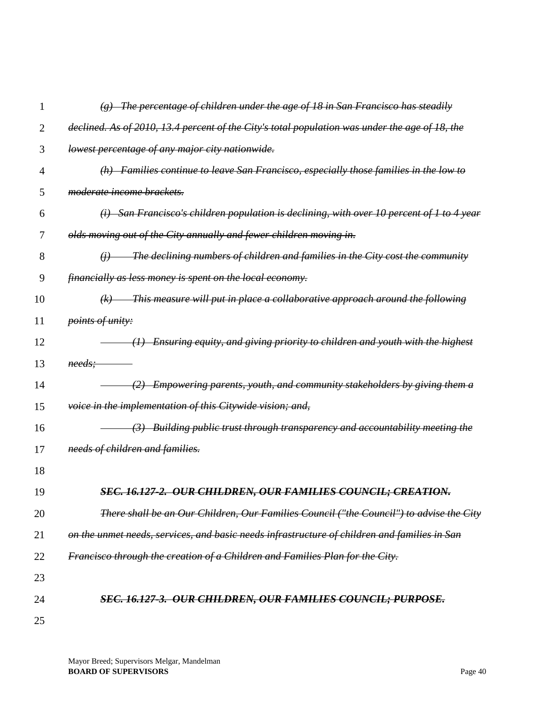|    | The percentage of children under the age of 18 in San Francisco has steadily                                     |
|----|------------------------------------------------------------------------------------------------------------------|
| 2  | declined. As of 2010, 13.4 percent of the City's total population was under the age of 18, the                   |
| 3  | lowest percentage of any major city nationwide.                                                                  |
| 4  | $(h)$ Families continue to leave San Francisco, especially those families in the low to                          |
| 5  | moderate income brackets.                                                                                        |
| 6  | San Francisco's children population is declining, with over 10 percent of 1 to 4 year<br>$\left(\ddot{t}\right)$ |
| 7  | olds moving out of the City annually and fewer children moving in.                                               |
| 8  | The declining numbers of children and families in the City cost the community<br>$\theta$                        |
| 9  | financially as less money is spent on the local economy.                                                         |
| 10 | This measure will put in place a collaborative approach around the following<br>(k)                              |
| 11 | points of unity:                                                                                                 |
| 12 | Ensuring equity, and giving priority to children and youth with the highest<br>$\leftrightarrow$                 |
| 13 | needs;                                                                                                           |
| 14 | Empowering parents, youth, and community stakeholders by giving them a<br>$\leftrightarrow$                      |
| 15 | voice in the implementation of this Citywide vision; and,                                                        |
| 16 | Building public trust through transparency and accountability meeting the                                        |
| 17 | needs of children and families.                                                                                  |
| 18 |                                                                                                                  |
| 19 | <u>SEC. 16.127-2. OUR CHILDREN, OUR FAMILIES COUNCIL; CREATION.</u>                                              |
| 20 | There shall be an Our Children, Our Families Council ("the Council") to advise the City                          |
| 21 | on the unmet needs, services, and basic needs infrastructure of children and families in San                     |
| 22 | Francisco through the creation of a Children and Families Plan for the City.                                     |
| 23 |                                                                                                                  |
| 24 | <u>SEC. 16.127-3.  OUR CHILDREN, OUR FAMILIES COUNCIL; PURPOSE.</u>                                              |
| 25 |                                                                                                                  |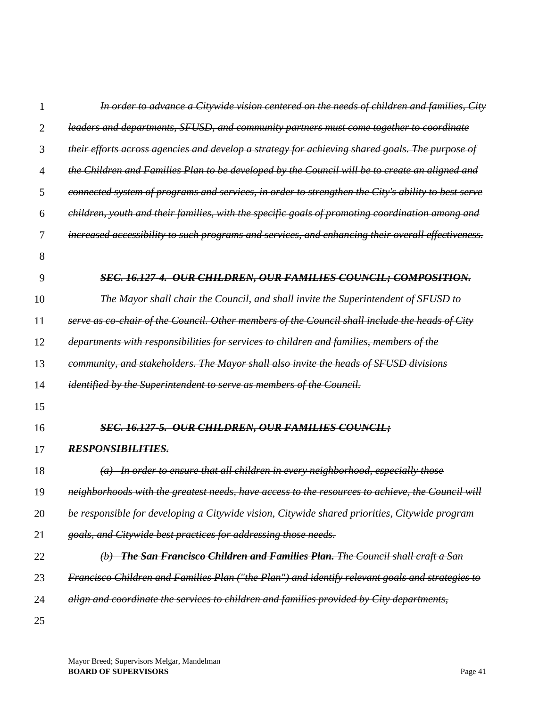| 1              | In order to advance a Citywide vision centered on the needs of children and families, City         |
|----------------|----------------------------------------------------------------------------------------------------|
| $\overline{2}$ | leaders and departments, SFUSD, and community partners must come together to coordinate            |
| 3              | their efforts across agencies and develop a strategy for achieving shared goals. The purpose of    |
| $\overline{4}$ | the Children and Families Plan to be developed by the Council will be to create an aligned and     |
| 5              | connected system of programs and services, in order to strengthen the City's ability to best serve |
| 6              | children, youth and their families, with the specific goals of promoting coordination among and    |
| 7              | increased accessibility to such programs and services, and enhancing their overall effectiveness.  |
| 8              |                                                                                                    |
| 9              | SEC. 16.127-4. OUR CHILDREN, OUR FAMILIES COUNCIL; COMPOSITION.                                    |
| 10             | The Mayor shall chair the Council, and shall invite the Superintendent of SFUSD to                 |
| 11             | serve as co-chair of the Council. Other members of the Council shall include the heads of City     |
| 12             | departments with responsibilities for services to children and families, members of the            |
| 13             | community, and stakeholders. The Mayor shall also invite the heads of SFUSD divisions              |
| 14             | <i>identified by the Superintendent to serve as members of the Council.</i>                        |
| 15             |                                                                                                    |
| 16             | <b>SEC. 16.127-5. OUR CHILDREN, OUR FAMILIES COUNCIL;</b>                                          |
| 17             | <b>RESPONSIBILITIES.</b>                                                                           |
| 18             | $(a)$ In order to ensure that all children in every neighborhood, especially those                 |
| 19             | neighborhoods with the greatest needs, have access to the resources to achieve, the Council will   |
| 20             | be responsible for developing a Citywide vision, Citywide shared priorities, Citywide program      |
| 21             | goals, and Citywide best practices for addressing those needs.                                     |
| 22             | <b>The San Francisco Children and Families Plan.</b> The Council shall craft a San<br>$\theta$     |
| 23             | Francisco Children and Families Plan ("the Plan") and identify relevant goals and strategies to    |
| 24             | align and coordinate the services to children and families provided by City departments,           |
| 25             |                                                                                                    |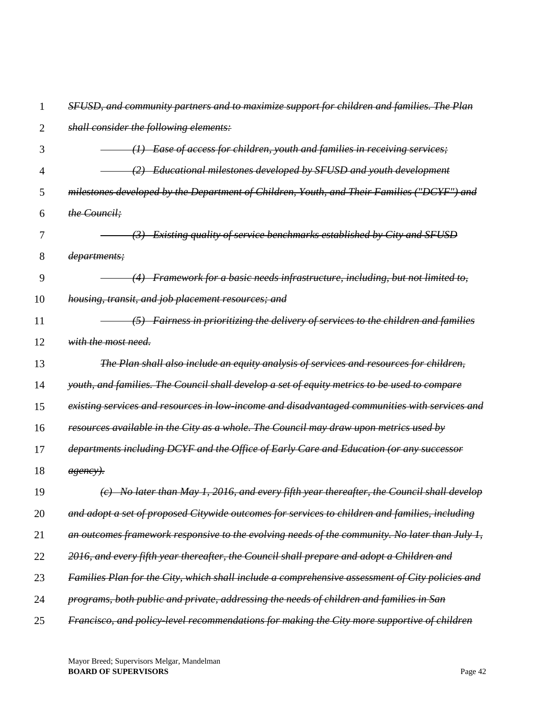| 1  | SFUSD, and community partners and to maximize support for children and families. The Plan       |
|----|-------------------------------------------------------------------------------------------------|
| 2  | shall consider the following elements:                                                          |
| 3  | Ease of access for children, youth and families in receiving services;                          |
| 4  | Educational milestones developed by SFUSD and youth development                                 |
| 5  | milestones developed by the Department of Children, Youth, and Their Families ("DCYF") and      |
| 6  | the Council;                                                                                    |
| 7  | Existing quality of service benchmarks established by City and SFUSD                            |
| 8  | departments;                                                                                    |
| 9  | Framework for a basic needs infrastructure, including, but not limited to,                      |
| 10 | housing, transit, and job placement resources; and                                              |
| 11 | $(5)$ Fairness in prioritizing the delivery of services to the children and families            |
| 12 | with the most need.                                                                             |
| 13 | The Plan shall also include an equity analysis of services and resources for children,          |
| 14 | youth, and families. The Council shall develop a set of equity metrics to be used to compare    |
| 15 | existing services and resources in low-income and disadvantaged communities with services and   |
| 16 | resources available in the City as a whole. The Council may draw upon metrics used by           |
| 17 | departments including DCYF and the Office of Early Care and Education (or any successor         |
| 18 | <del>agency).</del>                                                                             |
| 19 | $(e)$ No later than May 1, 2016, and every fifth year thereafter, the Council shall develop     |
| 20 | and adopt a set of proposed Citywide outcomes for services to children and families, including  |
| 21 | an outcomes framework responsive to the evolving needs of the community. No later than July 1,  |
| 22 | 2016, and every fifth year thereafter, the Council shall prepare and adopt a Children and       |
| 23 | Families Plan for the City, which shall include a comprehensive assessment of City policies and |
| 24 | programs, both public and private, addressing the needs of children and families in San         |
| 25 | Francisco, and policy-level recommendations for making the City more supportive of children     |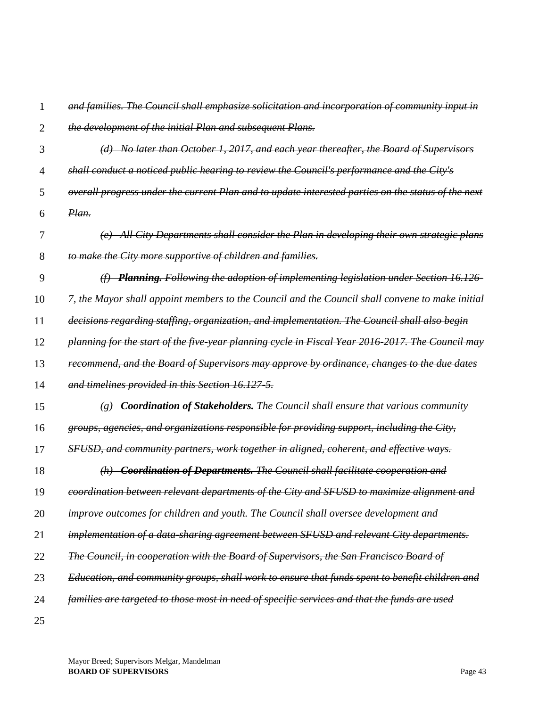- 1 2 *and families. The Council shall emphasize solicitation and incorporation of community input in the development of the initial Plan and subsequent Plans.*
- 3 *(d) No later than October 1, 2017, and each year thereafter, the Board of Supervisors*
- 4 *shall conduct a noticed public hearing to review the Council's performance and the City's*
- 5 6 *overall progress under the current Plan and to update interested parties on the status of the next Plan.*
- 7 8 *(e) All City Departments shall consider the Plan in developing their own strategic plans to make the City more supportive of children and families.*
- 9 *(f) Planning. Following the adoption of implementing legislation under Section 16.126-*
- 10 *7, the Mayor shall appoint members to the Council and the Council shall convene to make initial*
- 11 *decisions regarding staffing, organization, and implementation. The Council shall also begin*
- 12 *planning for the start of the five-year planning cycle in Fiscal Year 2016-2017. The Council may*
- 13 *recommend, and the Board of Supervisors may approve by ordinance, changes to the due dates*
- 14 *and timelines provided in this Section 16.127-5.*
- 15 *(g) Coordination of Stakeholders. The Council shall ensure that various community*
- 16 *groups, agencies, and organizations responsible for providing support, including the City,*
- 17 *SFUSD, and community partners, work together in aligned, coherent, and effective ways.*
- 18 19 *(h) Coordination of Departments. The Council shall facilitate cooperation and coordination between relevant departments of the City and SFUSD to maximize alignment and*
- 20 *improve outcomes for children and youth. The Council shall oversee development and*
- 21 *implementation of a data-sharing agreement between SFUSD and relevant City departments.*
- 22 *The Council, in cooperation with the Board of Supervisors, the San Francisco Board of*
- 23 *Education, and community groups, shall work to ensure that funds spent to benefit children and*
- 24 *families are targeted to those most in need of specific services and that the funds are used*
- 25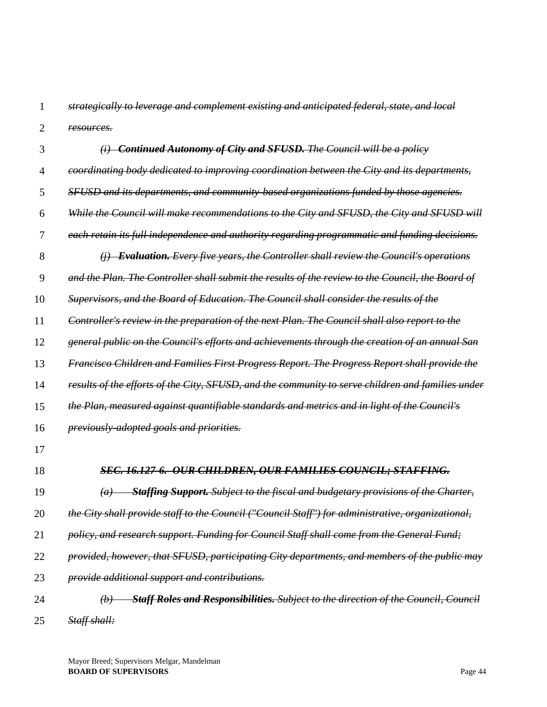1 2 *strategically to leverage and complement existing and anticipated federal, state, and local resources.*

| 3              | $(i)$ Continued Autonomy of City and SFUSD. The Council will be a policy                                           |
|----------------|--------------------------------------------------------------------------------------------------------------------|
| $\overline{4}$ | coordinating body dedicated to improving coordination between the City and its departments,                        |
| 5              | SFUSD and its departments, and community based organizations funded by those agencies.                             |
| 6              | While the Council will make recommendations to the City and SFUSD, the City and SFUSD will                         |
| 7              | each retain its full independence and authority regarding programmatic and funding decisions.                      |
| 8              | $(i)$ Evaluation. Every five years, the Controller shall review the Council's operations                           |
| 9              | and the Plan. The Controller shall submit the results of the review to the Council, the Board of                   |
| 10             | Supervisors, and the Board of Education. The Council shall consider the results of the                             |
| 11             | Controller's review in the preparation of the next Plan. The Council shall also report to the                      |
| 12             | general public on the Council's efforts and achievements through the creation of an annual San                     |
| 13             | Francisco Children and Families First Progress Report. The Progress Report shall provide the                       |
| 14             | results of the efforts of the City, SFUSD, and the community to serve children and families under                  |
| 15             | the Plan, measured against quantifiable standards and metrics and in light of the Council's                        |
| 16             | <i>previously-adopted goals and priorities.</i>                                                                    |
| 17             |                                                                                                                    |
| 18             | SEC. 16.127-6. OUR CHILDREN, OUR FAMILIES COUNCIL; STAFFING.                                                       |
| 19             | <b>Staffing Support.</b> Subject to the fiscal and budgetary provisions of the Charter,<br>(a)                     |
| 20             | the City shall provide staff to the Council ("Council Staff") for administrative, organizational,                  |
| 21             | policy, and research support. Funding for Council Staff shall come from the General Fund;                          |
| 22             | provided, however, that SFUSD, participating City departments, and members of the public may                       |
| 23             | provide additional support and contributions.                                                                      |
| 24             | <b>Staff Roles and Responsibilities.</b> Subject to the direction of the Council, Council<br>$\left(\bm{b}\right)$ |
| 25             | Staff shall:                                                                                                       |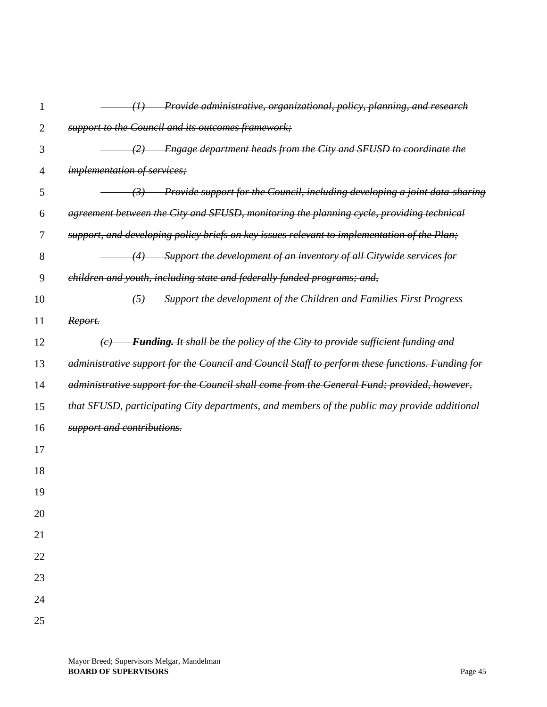| $\mathbf{1}$   | Provide administrative, organizational, policy, planning, and research<br>$\left( I\right)$       |
|----------------|---------------------------------------------------------------------------------------------------|
| $\overline{2}$ | support to the Council and its outcomes framework;                                                |
| 3              | Engage department heads from the City and SFUSD to coordinate the<br>(2)                          |
| 4              | <i>implementation of services;</i>                                                                |
| 5              | Provide support for the Council, including developing a joint data sharing<br>(3)                 |
| 6              | agreement between the City and SFUSD, monitoring the planning cycle, providing technical          |
| 7              | support, and developing policy briefs on key issues relevant to implementation of the Plan;       |
| $8\,$          | Support the development of an inventory of all Citywide services for<br>(4)                       |
| 9              | children and youth, including state and federally funded programs; and,                           |
| 10             | Support the development of the Children and Families First Progress<br>(5)                        |
| 11             | Report.                                                                                           |
| 12             | Funding. It shall be the policy of the City to provide sufficient funding and<br>$\left(e\right)$ |
| 13             | administrative support for the Council and Council Staff to perform these functions. Funding for  |
| 14             | administrative support for the Council shall come from the General Fund; provided, however,       |
| 15             | that SFUSD, participating City departments, and members of the public may provide additional      |
| 16             | support and contributions.                                                                        |
| 17             |                                                                                                   |
| 18             |                                                                                                   |
| 19             |                                                                                                   |
| 20             |                                                                                                   |
| 21             |                                                                                                   |
| 22             |                                                                                                   |
| 23             |                                                                                                   |
| 24             |                                                                                                   |
| 25             |                                                                                                   |